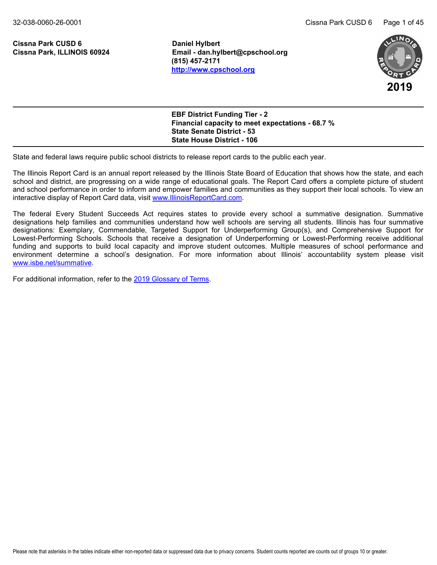**Cissna Park CUSD 6 Daniel Hylbert**

**Cissna Park, ILLINOIS 60924 Email - dan.hylbert@cpschool.org (815) 457-2171 <http://www.cpschool.org>**



**EBF District Funding Tier - 2 Financial capacity to meet expectations - 68.7 % State Senate District - 53 State House District - 106**

State and federal laws require public school districts to release report cards to the public each year.

The Illinois Report Card is an annual report released by the Illinois State Board of Education that shows how the state, and each school and district, are progressing on a wide range of educational goals. The Report Card offers a complete picture of student and school performance in order to inform and empower families and communities as they support their local schools. To view an interactive display of Report Card data, visit [www.IllinoisReportCard.com](https://www.illinoisreportcard.com/).

The federal Every Student Succeeds Act requires states to provide every school a summative designation. Summative designations help families and communities understand how well schools are serving all students. Illinois has four summative designations: Exemplary, Commendable, Targeted Support for Underperforming Group(s), and Comprehensive Support for Lowest-Performing Schools. Schools that receive a designation of Underperforming or Lowest-Performing receive additional funding and supports to build local capacity and improve student outcomes. Multiple measures of school performance and environment determine a school's designation. For more information about Illinois' accountability system please visit [www.isbe.net/summative](https://www.isbe.net/summative).

For additional information, refer to th[e 2019 Glossary of Terms](https://www.isbe.net/Documents/2019-Report-Card-Glossary-Terms.pdf).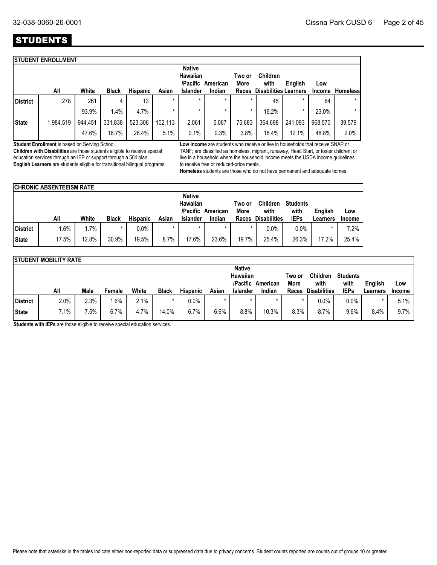## **STUDENTS**

|                 | <b>STUDENT ENROLLMENT</b> |         |              |                 |         |                           |                   |                |                              |         |               |                 |
|-----------------|---------------------------|---------|--------------|-----------------|---------|---------------------------|-------------------|----------------|------------------------------|---------|---------------|-----------------|
|                 |                           |         |              |                 |         | <b>Native</b><br>Hawaiian | /Pacific American | Two or<br>More | <b>Children</b><br>with      | English | Low           |                 |
|                 | All                       | White   | <b>Black</b> | <b>Hispanic</b> | Asian   | <b>Islander</b>           | Indian            | Races          | <b>Disabilities Learners</b> |         | <b>Income</b> | <b>Homeless</b> |
| <b>District</b> | 278                       | 261     | 4            | 13              | $\star$ | $\star$                   | $\star$           | $\star$        | 45                           | $\star$ | 64            | $\star$         |
|                 |                           | 93.9%   | 1.4%         | 4.7%            |         |                           |                   | *              | 16.2%                        | $\star$ | 23.0%         | $\star$         |
| <b>State</b>    | 1,984,519                 | 944,451 | 331,838      | 523,306         | 102,113 | 2,061                     | 5,067             | 75,683         | 364,698                      | 241,093 | 968,570       | 39,579          |
|                 |                           | 47.6%   | 16.7%        | 26.4%           | 5.1%    | 0.1%                      | 0.3%              | 3.8%           | 18.4%                        | 12.1%   | 48.8%         | 2.0%            |

**Student Enrollment** is based on Serving School.

**Children with Disabilities** are those students eligible to receive special education services through an IEP or support through a 504 plan. **English Learners** are students eligible for transitional bilingual programs. **Low Income** are students who receive or live in households that receive SNAP or TANF; are classified as homeless, migrant, runaway, Head Start, or foster children; or live in a household where the household income meets the USDA income guidelines to receive free or reduced-price meals.

**Homeless** students are those who do not have permanent and adequate homes.

|          | <b>CHRONIC ABSENTEEISM RATE</b> |        |              |                 |         |                                       |          |                |                         |                         |                 |               |
|----------|---------------------------------|--------|--------------|-----------------|---------|---------------------------------------|----------|----------------|-------------------------|-------------------------|-----------------|---------------|
|          |                                 |        |              |                 |         | <b>Native</b><br>Hawaiian<br>/Pacific | American | Two or<br>More | <b>Children</b><br>with | <b>Students</b><br>with | English         | Low           |
|          | All                             | White  | <b>Black</b> | <b>Hispanic</b> | Asian   | <b>Islander</b>                       | Indian   | <b>Races</b>   | <b>Disabilities</b>     | <b>IEPs</b>             | <b>Learners</b> | <b>Income</b> |
| District | $1.6\%$                         | $.7\%$ |              | $0.0\%$         | $\star$ | $\star$                               | $\star$  | $\star$        | $0.0\%$                 | 0.0%                    |                 | 7.2%          |
| State    | 17.5%                           | 12.8%  | 30.9%        | 19.5%           | 8.7%    | 17.6%                                 | 23.6%    | 19.7%          | 25.4%                   | 26.3%                   | 17.2%           | 25.4%         |

|                 | <b>STUDENT MOBILITY RATE</b> |        |        |       |              |                 |         |                           |                   |                |                         |                         |          |               |
|-----------------|------------------------------|--------|--------|-------|--------------|-----------------|---------|---------------------------|-------------------|----------------|-------------------------|-------------------------|----------|---------------|
|                 |                              |        |        |       |              |                 |         | <b>Native</b><br>Hawaiian | /Pacific American | Two or<br>More | <b>Children</b><br>with | <b>Students</b><br>with | English  | Low           |
|                 | All                          | Male   | Female | White | <b>Black</b> | <b>Hispanic</b> | Asian   | Islander                  | Indian            | Races          | <b>Disabilities</b>     | <b>IEPs</b>             | Learners | <b>Income</b> |
| <b>District</b> | 2.0%                         | 2.3%   | $.6\%$ | 2.1%  |              | $0.0\%$         |         |                           |                   |                | $0.0\%$                 | $0.0\%$                 |          | 5.1%          |
| State           | 7.1%                         | $.5\%$ | 6.7%   | 4.7%  | 14.0%        | 6.7%            | $6.6\%$ | 8.8%                      | 10.3%             | 8.3%           | 8.7%                    | 9.6%                    | 8.4%     | $9.7\%$       |

**Students with IEPs** are those eligible to receive special education services.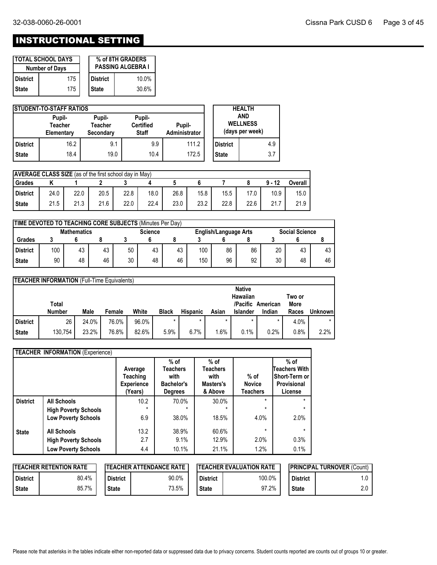## INSTRUCTIONAL SETTING

|                 | I TOTAL SCHOOL DAYS<br><b>Number of Days</b> |              | % of 8TH GRADERS<br><b>PASSING ALGEBRA I</b> |
|-----------------|----------------------------------------------|--------------|----------------------------------------------|
| <b>District</b> | 175                                          | District     | $10.0\%$                                     |
| <b>State</b>    | 175                                          | <b>State</b> | 30.6%                                        |

|                 | <b>STUDENT-TO-STAFF RATIOS</b>  |                                |                                            |                         |                                           | <b>HEALTH</b> |     |
|-----------------|---------------------------------|--------------------------------|--------------------------------------------|-------------------------|-------------------------------------------|---------------|-----|
|                 | Pupil-<br>Teacher<br>Elementary | Pupil-<br>Teacher<br>Secondary | Pupil-<br><b>Certified</b><br><b>Staff</b> | Pupil-<br>Administrator | AND<br><b>WELLNESS</b><br>(days per week) |               |     |
| <b>District</b> | 16.2                            | 9.1                            | 9.9                                        | 111.2                   | <b>District</b>                           |               | 4.9 |
| <b>State</b>    | 18.4                            | 19.0                           | 10.4                                       | 172.5                   | <b>State</b>                              |               | 3.7 |

| <b>AVERAGE CLASS SIZE</b> (as of the first school day in May) |      |      |      |      |      |      |      |      |      |          |         |
|---------------------------------------------------------------|------|------|------|------|------|------|------|------|------|----------|---------|
| Grades                                                        |      |      |      |      |      |      |      |      |      | $9 - 12$ | Overall |
| l District                                                    | 24.0 | 22.0 | 20.5 | 22.8 | 18.0 | 26.8 | 15.8 | 15.5 | 17.0 | 10.9     | 15.0    |
| <b>State</b>                                                  | 21.5 | 21.3 | 21.6 | 22.0 | 22.4 | 23.0 | 23.2 | 22.8 | 22.6 | 21.7     | 21.9    |

| TIME DEVOTED TO TEACHING CORE SUBJECTS (Minutes Per Day)                                      |     |    |    |    |    |    |     |    |    |    |    |    |
|-----------------------------------------------------------------------------------------------|-----|----|----|----|----|----|-----|----|----|----|----|----|
| <b>Mathematics</b><br><b>Social Science</b><br><b>Science</b><br><b>English/Language Arts</b> |     |    |    |    |    |    |     |    |    |    |    |    |
| <b>Grades</b>                                                                                 |     |    |    |    |    |    |     |    |    |    |    |    |
| <b>District</b>                                                                               | 100 | 43 | 43 | 50 | 43 | 43 | 100 | 86 | 86 | 20 | 43 | 43 |
| <b>State</b>                                                                                  | 90  | 48 | 46 | 30 | 48 | 46 | 150 | 96 | 92 | 30 | 48 | 46 |

|                 | <b>TEACHER INFORMATION</b> (Full-Time Equivalents) |       |        |       |              |                 |       |                                       |          |                |                |
|-----------------|----------------------------------------------------|-------|--------|-------|--------------|-----------------|-------|---------------------------------------|----------|----------------|----------------|
|                 | Total                                              |       |        |       |              |                 |       | <b>Native</b><br>Hawaiian<br>/Pacific | American | Two or<br>More |                |
|                 | <b>Number</b>                                      | Male  | Female | White | <b>Black</b> | <b>Hispanic</b> | Asian | <b>Islander</b>                       | Indian   | Races          | <b>Unknown</b> |
| <b>District</b> | 26                                                 | 24.0% | 76.0%  | 96.0% | $\star$      |                 |       |                                       | *        | 4.0%           | $\star$        |
| <b>State</b>    | 130.754                                            | 23.2% | 76.8%  | 82.6% | 5.9%         | 6.7%            | .6%   | 0.1%                                  | 0.2%     | 0.8%           | 2.2%           |

|                 | <b>TEACHER INFORMATION (Experience)</b> |                                                     |                                                                          |                                                    |                                            |                                                                    |
|-----------------|-----------------------------------------|-----------------------------------------------------|--------------------------------------------------------------------------|----------------------------------------------------|--------------------------------------------|--------------------------------------------------------------------|
|                 |                                         | Average<br>Teaching<br><b>Experience</b><br>(Years) | $%$ of<br><b>Teachers</b><br>with<br><b>Bachelor's</b><br><b>Degrees</b> | $%$ of<br>Teachers<br>with<br>Masters's<br>& Above | $%$ of<br><b>Novice</b><br><b>Teachers</b> | $%$ of<br>Teachers With<br>Short-Term or<br>Provisional<br>License |
| <b>District</b> | <b>All Schools</b>                      | 10.2                                                | 70.0%                                                                    | 30.0%                                              | $\star$                                    | $\star$                                                            |
|                 | <b>High Poverty Schools</b>             | $\star$                                             | $\star$                                                                  | $\star$                                            | $\star$                                    | $\star$                                                            |
|                 | <b>Low Poverty Schools</b>              | 6.9                                                 | 38.0%                                                                    | 18.5%                                              | 4.0%                                       | 2.0%                                                               |
| <b>State</b>    | <b>All Schools</b>                      | 13.2                                                | 38.9%                                                                    | 60.6%                                              | $\star$                                    | $\star$                                                            |
|                 | <b>High Poverty Schools</b>             | 2.7                                                 | 9.1%                                                                     | 12.9%                                              | 2.0%                                       | 0.3%                                                               |
|                 | <b>Low Poverty Schools</b>              | 4.4                                                 | 10.1%                                                                    | 21.1%                                              | 1.2%                                       | 0.1%                                                               |

|                 | <b>ITEACHER RETENTION RATE</b> |                 | <b>ITEACHER ATTENDANCE RATE</b> | <b>IPRINCIPAL TURNOVER (Count)</b><br><b>ITEACHER EVALUATION RATE</b> |        |                 |     |
|-----------------|--------------------------------|-----------------|---------------------------------|-----------------------------------------------------------------------|--------|-----------------|-----|
| <b>District</b> | 80.4%                          | <b>District</b> | 90.0%                           | <b>District</b>                                                       | 100.0% | <b>District</b> |     |
| State           | 85.7%                          | <b>State</b>    | 73.5%                           | <b>State</b>                                                          | 97.2%  | <b>State</b>    | 2.0 |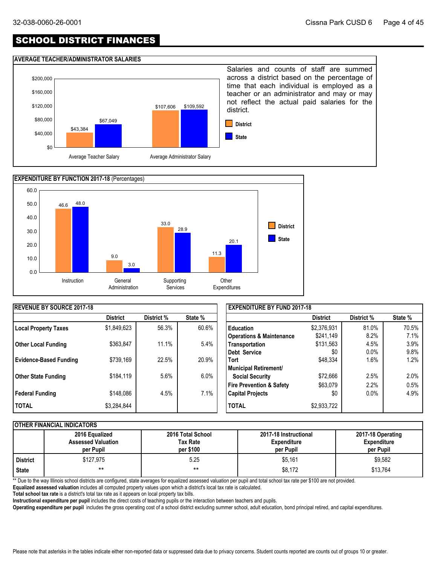## SCHOOL DISTRICT FINANCES

#### **AVERAGE TEACHER/ADMINISTRATOR SALARIES**





| <b>REVENUE BY SOURCE 2017-18</b> |                 |            |         | <b>EXPENDITURE BY FUND 2017-18</b>  |                 |            |         |  |
|----------------------------------|-----------------|------------|---------|-------------------------------------|-----------------|------------|---------|--|
|                                  | <b>District</b> | District % | State % |                                     | <b>District</b> | District % | State % |  |
| Local Property Taxes             | \$1,849,623     | 56.3%      | 60.6%   | <b>Education</b>                    | \$2,376,931     | 81.0%      | 70.5%   |  |
|                                  |                 |            |         | <b>Operations &amp; Maintenance</b> | \$241,149       | 8.2%       | 7.1%    |  |
| <b>Other Local Funding</b>       | \$363.847       | 11.1%      | 5.4%    | Transportation                      | \$131,563       | 4.5%       | 3.9%    |  |
|                                  |                 |            |         | Debt Service                        | \$0             | 0.0%       | 9.8%    |  |
| <b>Evidence-Based Funding</b>    | \$739,169       | 22.5%      | 20.9%   | <b>Tort</b>                         | \$48,334        | 1.6%       | 1.2%    |  |
|                                  |                 |            |         | Municipal Retirement/               |                 |            |         |  |
| <b>Other State Funding</b>       | \$184,119       | 5.6%       | $6.0\%$ | <b>Social Security</b>              | \$72,666        | 2.5%       | 2.0%    |  |
|                                  |                 |            |         | <b>Fire Prevention &amp; Safety</b> | \$63,079        | 2.2%       | 0.5%    |  |
| <b>Federal Funding</b>           | \$148,086       | 4.5%       | 7.1%    | <b>Capital Projects</b>             | \$0             | $0.0\%$    | 4.9%    |  |
| <b>I TOTAL</b>                   | \$3,284,844     |            |         | <b>TOTAL</b>                        | \$2,933,722     |            |         |  |

#### **OTHER FINANCIAL INDICATORS**

|          | 2016 Equalized<br><b>Assessed Valuation</b><br>per Pupil | 2016 Total School<br>Tax Rate<br>per \$100 | 2017-18 Instructional<br><b>Expenditure</b><br>per Pupil | 2017-18 Operating<br><b>Expenditure</b><br>per Pupil |
|----------|----------------------------------------------------------|--------------------------------------------|----------------------------------------------------------|------------------------------------------------------|
| District | \$127.975                                                | 5.25                                       | \$5,161                                                  | \$9,582                                              |
| State    | $***$                                                    | $***$                                      | \$8,172                                                  | \$13,764                                             |

\*\* Due to the way Illinois school districts are configured, state averages for equalized assessed valuation per pupil and total school tax rate per \$100 are not provided.

**Equalized assessed valuation** includes all computed property values upon which a district's local tax rate is calculated.

**Total school tax rate** is a district's total tax rate as it appears on local property tax bills.

**Instructional expenditure per pupil** includes the direct costs of teaching pupils or the interaction between teachers and pupils.

**Operating expenditure per pupil** includes the gross operating cost of a school district excluding summer school, adult education, bond principal retired, and capital expenditures.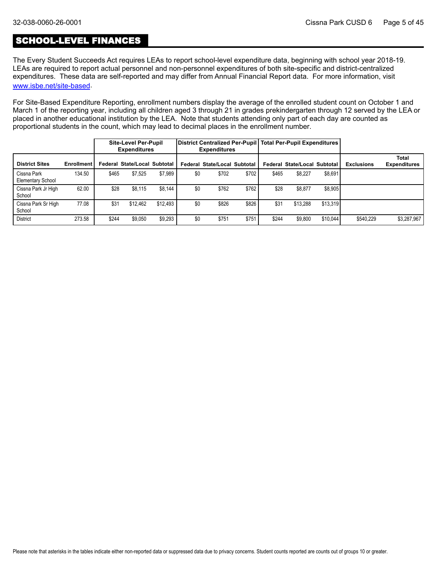## SCHOOL-LEVEL FINANCES

The Every Student Succeeds Act requires LEAs to report school-level expenditure data, beginning with school year 2018-19. LEAs are required to report actual personnel and non-personnel expenditures of both site-specific and district-centralized expenditures. These data are self-reported and may differ from Annual Financial Report data. For more information, visit [www.isbe.net/site-based](https://www.isbe.net/site-based).

For Site-Based Expenditure Reporting, enrollment numbers display the average of the enrolled student count on October 1 and March 1 of the reporting year, including all children aged 3 through 21 in grades prekindergarten through 12 served by the LEA or placed in another educational institution by the LEA. Note that students attending only part of each day are counted as proportional students in the count, which may lead to decimal places in the enrollment number.

|                                         |                   |       | <b>Site-Level Per-Pupil</b><br><b>Expenditures</b> |          |     | <b>Expenditures</b>                 |       |       | District Centralized Per-Pupil   Total Per-Pupil Expenditures |          |                   |                                     |
|-----------------------------------------|-------------------|-------|----------------------------------------------------|----------|-----|-------------------------------------|-------|-------|---------------------------------------------------------------|----------|-------------------|-------------------------------------|
| <b>District Sites</b>                   | <b>Enrollment</b> |       | Federal State/Local Subtotal                       |          |     | <b>Federal State/Local Subtotal</b> |       |       | Federal State/Local Subtotal                                  |          | <b>Exclusions</b> | <b>Total</b><br><b>Expenditures</b> |
| Cissna Park<br><b>Elementary School</b> | 134.50            | \$465 | \$7,525                                            | \$7.989  | \$0 | \$702                               | \$702 | \$465 | \$8,227                                                       | \$8,691  |                   |                                     |
| Cissna Park Jr High<br>School           | 62.00             | \$28  | \$8,115                                            | \$8.144  | \$0 | \$762                               | \$762 | \$28  | \$8,877                                                       | \$8,905  |                   |                                     |
| Cissna Park Sr High<br>School           | 77.08             | \$31  | \$12.462                                           | \$12.493 | \$0 | \$826                               | \$826 | \$31  | \$13.288                                                      | \$13,319 |                   |                                     |
| <b>District</b>                         | 273.58            | \$244 | \$9.050                                            | \$9,293  | \$0 | \$751                               | \$751 | \$244 | \$9,800                                                       | \$10,044 | \$540.229         | \$3,287,967                         |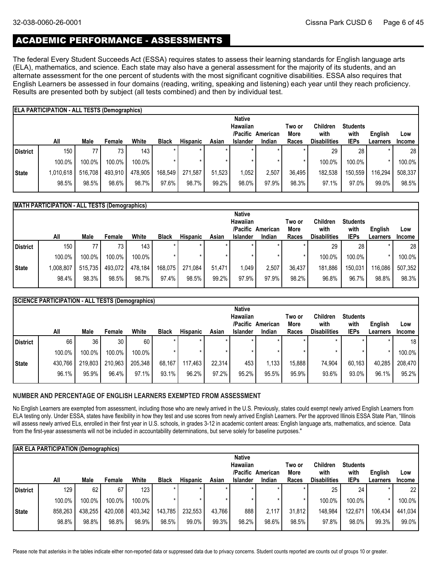## ACADEMIC PERFORMANCE - ASSESSMENTS

The federal Every Student Succeeds Act (ESSA) requires states to assess their learning standards for English language arts (ELA), mathematics, and science. Each state may also have a general assessment for the majority of its students, and an alternate assessment for the one percent of students with the most significant cognitive disabilities. ESSA also requires that English Learners be assessed in four domains (reading, writing, speaking and listening) each year until they reach proficiency. Results are presented both by subject (all tests combined) and then by individual test.

|              | <b>ELA PARTICIPATION - ALL TESTS (Demographics)</b> |         |         |         |              |                 |        |                 |          |         |                     |                 |          |               |
|--------------|-----------------------------------------------------|---------|---------|---------|--------------|-----------------|--------|-----------------|----------|---------|---------------------|-----------------|----------|---------------|
|              |                                                     |         |         |         |              |                 |        | <b>Native</b>   |          |         |                     |                 |          |               |
|              |                                                     |         |         |         |              |                 |        | <b>Hawaiian</b> |          | Two or  | <b>Children</b>     | <b>Students</b> |          |               |
|              |                                                     |         |         |         |              |                 |        | /Pacific        | American | More    | with                | with            | English  | Low           |
|              | All                                                 | Male    | Female  | White   | <b>Black</b> | <b>Hispanic</b> | Asian  | <b>Islander</b> | Indian   | Races   | <b>Disabilities</b> | <b>IEPs</b>     | Learners | <b>Income</b> |
| District     | 150                                                 | 77      | 73      | 143     |              |                 |        |                 |          |         | 29                  | 28              |          | 28            |
|              | 100.0%                                              | 100.0%  | 100.0%  | 100.0%  |              |                 |        |                 |          | $\star$ | 100.0%              | 100.0%          |          | 100.0%        |
| <b>State</b> | 1,010,618                                           | 516,708 | 493,910 | 478,905 | 168,549      | 271,587         | 51.523 | 1,052           | 2,507    | 36,495  | 182,538             | 150,559         | 116,294  | 508,337       |
|              | 98.5%                                               | 98.5%   | 98.6%   | 98.7%   | 97.6%        | 98.7%           | 99.2%  | 98.0%           | 97.9%    | 98.3%   | 97.1%               | 97.0%           | 99.0%    | 98.5%         |

|              | <b>MATH PARTICIPATION - ALL TESTS (Demographics)</b> |         |                 |         |              |          |        |                 |          |        |                     |                 |                 |                 |
|--------------|------------------------------------------------------|---------|-----------------|---------|--------------|----------|--------|-----------------|----------|--------|---------------------|-----------------|-----------------|-----------------|
|              |                                                      |         |                 |         |              |          |        | <b>Native</b>   |          |        |                     |                 |                 |                 |
|              |                                                      |         |                 |         |              |          |        | <b>Hawaiian</b> |          | Two or | <b>Children</b>     | <b>Students</b> |                 |                 |
|              |                                                      |         |                 |         |              |          |        | /Pacific        | American | More   | with                | with            | English         | Low             |
|              | All                                                  | Male    | Female          | White   | <b>Black</b> | Hispanic | Asian  | <b>Islander</b> | Indian   | Races  | <b>Disabilities</b> | <b>IEPs</b>     | <b>Learners</b> | <b>Income</b>   |
| l District   | 150                                                  | 77      | 73 <sub>1</sub> | 143     |              |          |        |                 |          |        | 29                  | 28              |                 | 28 <sub>1</sub> |
|              | 100.0%                                               | 100.0%  | 100.0%          | 100.0%  |              |          |        |                 |          |        | 100.0%              | 100.0%          |                 | 100.0%          |
| <b>State</b> | 1,008,807                                            | 515,735 | 493,072         | 478,184 | 168,075      | 271.084  | 51.471 | 1,049           | 2.507    | 36,437 | 181,886             | 150,031         | 116,086         | 507,352         |
|              | 98.4%                                                | 98.3%   | 98.5%           | 98.7%   | 97.4%        | 98.5%    | 99.2%  | 97.9%           | 97.9%    | 98.2%  | 96.8%               | 96.7%           | 98.8%           | 98.3%           |
|              |                                                      |         |                 |         |              |          |        |                 |          |        |                     |                 |                 |                 |

|              | <b>SCIENCE PARTICIPATION - ALL TESTS (Demographics)</b> |         |                 |         |              |                 |        |                 |          |        |                     |                 |          |               |
|--------------|---------------------------------------------------------|---------|-----------------|---------|--------------|-----------------|--------|-----------------|----------|--------|---------------------|-----------------|----------|---------------|
|              |                                                         |         |                 |         |              |                 |        | <b>Native</b>   |          |        |                     |                 |          |               |
|              |                                                         |         |                 |         |              |                 |        | <b>Hawaiian</b> |          | Two or | <b>Children</b>     | <b>Students</b> |          |               |
|              |                                                         |         |                 |         |              |                 |        | /Pacific        | American | More   | with                | with            | English  | Low           |
|              | All                                                     | Male    | Female          | White   | <b>Black</b> | <b>Hispanic</b> | Asian  | <b>Islander</b> | Indian   | Races  | <b>Disabilities</b> | <b>IEPs</b>     | Learners | <b>Income</b> |
| District     | 66                                                      | 36      | 30 <sub>1</sub> | 60      |              | ÷               |        | ÷               |          |        | $\star$             |                 | $\star$  | 18            |
|              | 100.0%                                                  | 100.0%  | 100.0%          | 100.0%  |              |                 |        |                 |          |        |                     |                 | *        | 100.0%        |
| <b>State</b> | 430,766                                                 | 219,803 | 210,963         | 205,348 | 68.167       | 117.463         | 22.314 | 453             | 1,133    | 15,888 | 74.904              | 60,163          | 40,285   | 208,470       |
|              | 96.1%                                                   | 95.9%   | 96.4%           | 97.1%   | 93.1%        | 96.2%           | 97.2%  | 95.2%           | 95.5%    | 95.9%  | 93.6%               | 93.0%           | 96.1%    | 95.2%         |
|              |                                                         |         |                 |         |              |                 |        |                 |          |        |                     |                 |          |               |

#### **NUMBER AND PERCENTAGE OF ENGLISH LEARNERS EXEMPTED FROM ASSESSMENT**

No English Learners are exempted from assessment, including those who are newly arrived in the U.S. Previously, states could exempt newly arrived English Learners from ELA testing only. Under ESSA, states have flexibility in how they test and use scores from newly arrived English Learners. Per the approved Illinois ESSA State Plan, "Illinois will assess newly arrived ELs, enrolled in their first year in U.S. schools, in grades 3-12 in academic content areas: English language arts, mathematics, and science. Data from the first-year assessments will not be included in accountability determinations, but serve solely for baseline purposes."

|                 | <b>IAR ELA PARTICIPATION (Demographics)</b> |             |         |         |              |                 |        |                 |          |        |                     |                 |          |               |
|-----------------|---------------------------------------------|-------------|---------|---------|--------------|-----------------|--------|-----------------|----------|--------|---------------------|-----------------|----------|---------------|
|                 |                                             |             |         |         |              |                 |        | <b>Native</b>   |          |        |                     |                 |          |               |
|                 |                                             |             |         |         |              |                 |        | <b>Hawaiian</b> |          | Two or | <b>Children</b>     | <b>Students</b> |          |               |
|                 |                                             |             |         |         |              |                 |        | /Pacific        | American | More   | with                | with            | English  | Low           |
|                 | All                                         | <b>Male</b> | Female  | White   | <b>Black</b> | <b>Hispanic</b> | Asian  | <b>Islander</b> | Indian   | Races  | <b>Disabilities</b> | <b>IEPs</b>     | Learners | <b>Income</b> |
| <b>District</b> | 129                                         | 62          | 67      | 123     |              | $\star$         |        |                 | $\star$  |        | 25                  | 24              |          | 22            |
|                 | 100.0%                                      | 100.0%      | 100.0%  | 100.0%  |              |                 |        |                 | $\star$  |        | 100.0%              | 100.0%          |          | 100.0%        |
| State           | 858,263                                     | 438,255     | 420,008 | 403,342 | 143,785      | 232,553         | 43.766 | 888             | 2.117    | 31.812 | 148,984             | 122,671         | 106,434  | 441,034       |
|                 | 98.8%                                       | 98.8%       | 98.8%   | 98.9%   | 98.5%        | 99.0%           | 99.3%  | 98.2%           | 98.6%    | 98.5%  | 97.8%               | 98.0%           | 99.3%    | 99.0%         |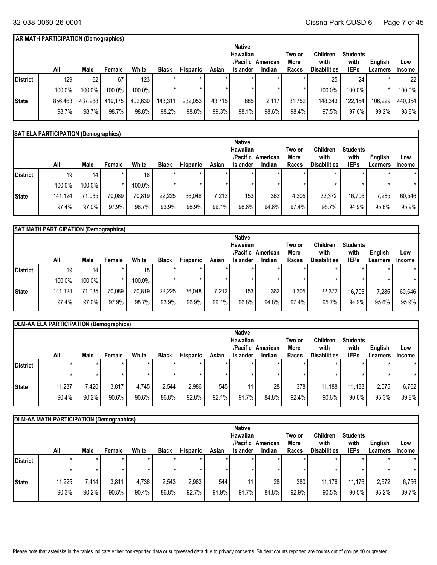## **IAR MATH PARTICIPATION (Demographics)**

|          |         |         |         |         |              |                 |        | <b>Native</b>   |          |        |                     |                 |                 |                 |
|----------|---------|---------|---------|---------|--------------|-----------------|--------|-----------------|----------|--------|---------------------|-----------------|-----------------|-----------------|
|          |         |         |         |         |              |                 |        | Hawaiian        |          | Two or | <b>Children</b>     | <b>Students</b> |                 |                 |
|          |         |         |         |         |              |                 |        | /Pacific        | American | More   | with                | with            | English         | Low             |
|          | All     | Male    | Female  | White   | <b>Black</b> | <b>Hispanic</b> | Asian  | <b>Islander</b> | Indian   | Races  | <b>Disabilities</b> | <b>IEPs</b>     | <b>Learners</b> | Income          |
| District | 129     | 62      | 67      | 123     |              | $\star$         |        |                 |          |        | 25                  | 24              |                 | 22 <sub>1</sub> |
|          | 100.0%  | 100.0%  | 100.0%  | 100.0%  |              |                 |        |                 |          |        | 100.0%              | 100.0%          |                 | 100.0%          |
| State    | 856,463 | 437,288 | 419,175 | 402,630 | 143,311      | 232,053         | 43,715 | 885             | 2,117    | 31,752 | 148,343             | 122,154         | 106,229         | 440,054         |
|          | 98.7%   | 98.7%   | 98.7%   | 98.8%   | 98.2%        | 98.8%           | 99.3%  | 98.1%           | 98.6%    | 98.4%  | 97.5%               | 97.6%           | 99.2%           | 98.8%           |

## **SAT ELA PARTICIPATION (Demographics)**

|                 |         |                 |         |                 |              |                 |       | <b>Native</b>    |          |        |                     |                 |          |               |
|-----------------|---------|-----------------|---------|-----------------|--------------|-----------------|-------|------------------|----------|--------|---------------------|-----------------|----------|---------------|
|                 |         |                 |         |                 |              |                 |       | Hawaiian         |          | Two or | Children            | <b>Students</b> |          |               |
|                 |         |                 |         |                 |              |                 |       | /Pacific         | American | More   | with                | with            | English  | Low           |
|                 | All     | Male            | Female  | White           | <b>Black</b> | <b>Hispanic</b> | Asian | <b>Islander</b>  | Indian   | Races  | <b>Disabilities</b> | <b>IEPs</b>     | Learners | <b>Income</b> |
| <b>District</b> | 19      | 14 <sup>1</sup> | $\star$ | 18 <sub>1</sub> |              |                 |       | $\star$          |          |        | $\star$             |                 |          | $\star$       |
|                 | 100.0%  | 100.0%          |         | 100.0%          |              |                 |       |                  |          |        |                     |                 |          |               |
| <b>State</b>    | 141,124 | 71,035          | 70,089  | 70,819          | 22.225       | 36,048          | 7,212 | 153 <sub>1</sub> | 362      | 4,305  | 22,372              | 16,706          | 7,285    | 60,546        |
|                 | 97.4%   | 97.0%           | 97.9%   | 98.7%           | 93.9%        | 96.9%           | 99.1% | 96.8%            | 94.8%    | 97.4%  | 95.7%               | 94.9%           | 95.6%    | 95.9%         |
|                 |         |                 |         |                 |              |                 |       |                  |          |        |                     |                 |          |               |

|              | SAT MATH PARTICIPATION (Demographics) |        |        |        |              |                 |         |                             |                    |               |                             |                     |                            |                      |
|--------------|---------------------------------------|--------|--------|--------|--------------|-----------------|---------|-----------------------------|--------------------|---------------|-----------------------------|---------------------|----------------------------|----------------------|
|              |                                       |        |        |        |              |                 |         | <b>Native</b>               |                    |               |                             |                     |                            |                      |
|              |                                       |        |        |        |              |                 |         | Hawaiian                    |                    | Two or        | Children                    | <b>Students</b>     |                            |                      |
|              | All                                   | Male   | Female | White  | <b>Black</b> | <b>Hispanic</b> | Asian   | /Pacific<br><b>Islander</b> | American<br>Indian | More<br>Races | with<br><b>Disabilities</b> | with<br><b>IEPs</b> | English<br><b>Learners</b> | Low<br><b>Income</b> |
| l District   | 19                                    | 14     |        | 18     |              |                 | $\star$ |                             |                    |               |                             |                     |                            | $\star$              |
|              | 100.0%                                | 100.0% |        | 100.0% |              |                 |         |                             |                    |               |                             |                     | $\star$                    |                      |
| <b>State</b> | 141,124                               | 71,035 | 70,089 | 70,819 | 22,225       | 36,048          | 7,212   | 153 <sub>1</sub>            | 362                | 4,305         | 22,372                      | 16,706              | 7,285                      | 60,546               |
|              | 97.4%                                 | 97.0%  | 97.9%  | 98.7%  | 93.9%        | 96.9%           | 99.1%   | 96.8%                       | 94.8%              | 97.4%         | 95.7%                       | 94.9%               | 95.6%                      | 95.9%                |
|              |                                       |        |        |        |              |                 |         |                             |                    |               |                             |                     |                            |                      |

|          | DLM-AA ELA PARTICIPATION (Demographics) |         |        |       |              |                 |         |                 |          |        |                     |                 |          |               |
|----------|-----------------------------------------|---------|--------|-------|--------------|-----------------|---------|-----------------|----------|--------|---------------------|-----------------|----------|---------------|
|          |                                         |         |        |       |              |                 |         | <b>Native</b>   |          |        |                     |                 |          |               |
|          |                                         |         |        |       |              |                 |         | Hawaiian        |          | Two or | Children            | <b>Students</b> |          |               |
|          |                                         |         |        |       |              |                 |         | /Pacific        | American | More   | with                | with            | English  | Low           |
|          | All                                     | Male    | Female | White | <b>Black</b> | <b>Hispanic</b> | Asian   | <b>Islander</b> | Indian   | Races  | <b>Disabilities</b> | <b>IEPs</b>     | Learners | <b>Income</b> |
| District | $\star$                                 |         |        |       |              | $\star$         | $\star$ |                 |          |        |                     |                 |          |               |
|          |                                         | $\star$ |        |       |              | $\star$         | $\star$ |                 |          |        |                     |                 |          |               |
| State    | 11,237                                  | 7,420   | 3,817  | 4.745 | 2,544        | 2,986           | 545     | 11 L            | 28       | 378    | 11,188              | 11,188          | 2,575    | 6,762         |
|          | 90.4%                                   | 90.2%   | 90.6%  | 90.6% | 86.8%        | 92.8%           | 92.1%   | 91.7%           | 84.8%    | 92.4%  | 90.6%               | 90.6%           | 95.3%    | 89.8%         |

|          | DLM-AA MATH PARTICIPATION (Demographics) |       |        |          |              |                 |       |                      |          |                |                         |                         |          |               |
|----------|------------------------------------------|-------|--------|----------|--------------|-----------------|-------|----------------------|----------|----------------|-------------------------|-------------------------|----------|---------------|
|          |                                          |       |        |          |              |                 |       | <b>Native</b>        |          |                |                         |                         |          |               |
|          |                                          |       |        |          |              |                 |       | Hawaiian<br>/Pacific | American | Two or<br>More | <b>Children</b><br>with | <b>Students</b><br>with | English  | Low           |
|          | All                                      | Male  | Female | White    | <b>Black</b> | <b>Hispanic</b> | Asian | <b>Islander</b>      | Indian   | Races          | <b>Disabilities</b>     | <b>IEPs</b>             | Learners | <b>Income</b> |
| District | $\star$                                  | *     |        | $\star$  | $\star$      | $\star$         |       |                      |          |                |                         | $\star$                 |          | $\star$       |
|          | $\star$                                  |       |        |          |              | $\star$         |       |                      |          |                |                         | $^\star$                |          | $\star$       |
| State    | 11,225                                   | 7,414 | 3,811  | 4,736    | 2,543        | 2,983           | 544   | 11                   | 28       | 380            | 11,176                  | 11,176                  | 2,572    | 6,756         |
|          | 90.3%                                    | 90.2% | 90.5%  | $90.4\%$ | 86.8%        | 92.7%           | 91.9% | 91.7%                | 84.8%    | 92.9%          | 90.5%                   | 90.5%                   | 95.2%    | 89.7%         |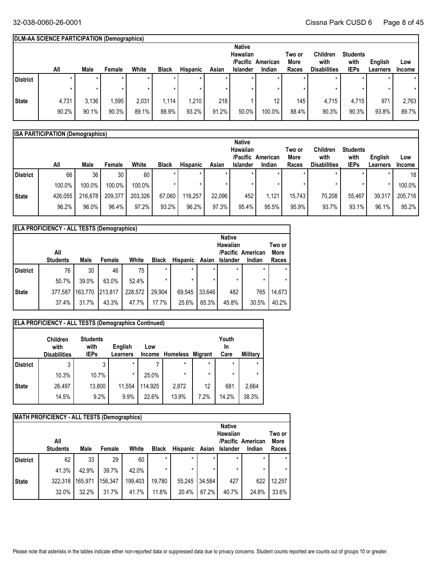## **DLM-AA SCIENCE PARTICIPATION (Demographics)**

|                 |         |             |         |         |              |                 |       | <b>Native</b>   |          |        |                     |                 |          |               |
|-----------------|---------|-------------|---------|---------|--------------|-----------------|-------|-----------------|----------|--------|---------------------|-----------------|----------|---------------|
|                 |         |             |         |         |              |                 |       | Hawaiian        |          | Two or | Children            | <b>Students</b> |          |               |
|                 |         |             |         |         |              |                 |       | /Pacific        | American | More   | with                | with            | English  | Low           |
|                 | All     | <b>Male</b> | Female  | White   | <b>Black</b> | <b>Hispanic</b> | Asian | <b>Islander</b> | Indian   | Races  | <b>Disabilities</b> | <b>IEPs</b>     | Learners | <b>Income</b> |
| <b>District</b> | $\star$ | ÷           | $\star$ | $\star$ |              |                 |       |                 | $\star$  |        |                     | $\star$         |          | $\star$       |
|                 |         |             |         |         |              |                 |       |                 |          |        |                     | $\star$         |          |               |
| <b>State</b>    | 4,731   | 3,136       | .595    | 2,031   | 1,114        | 1,210           | 218   |                 | 12       | 145    | 4,715               | 4,715           | 971      | 2,763         |
|                 | 90.2%   | 90.1%       | 90.3%   | 89.1%   | 88.9%        | 93.2%           | 91.2% | 50.0%           | 100.0%   | 88.4%  | 90.3%               | 90.3%           | 93.8%    | 89.7%         |

|            | <b>ISA PARTICIPATION (Demographics)</b> |         |         |         |              |                 |        |                 |          |        |                     |                 |          |                 |
|------------|-----------------------------------------|---------|---------|---------|--------------|-----------------|--------|-----------------|----------|--------|---------------------|-----------------|----------|-----------------|
|            |                                         |         |         |         |              |                 |        | <b>Native</b>   |          |        |                     |                 |          |                 |
|            |                                         |         |         |         |              |                 |        | Hawaiian        |          | Two or | <b>Children</b>     | <b>Students</b> |          |                 |
|            |                                         |         |         |         |              |                 |        | /Pacific        | American | More   | with                | with            | English  | Low             |
|            | All                                     | Male    | Female  | White   | <b>Black</b> | <b>Hispanic</b> | Asian  | <b>Islander</b> | Indian   | Races  | <b>Disabilities</b> | <b>IEPs</b>     | Learners | <b>Income</b>   |
| l District | 66                                      | 36      | 30      | 60      |              | $\star$         |        |                 | $\star$  |        |                     | $\star$         |          | 18 <sub>1</sub> |
|            | 100.0%                                  | 100.0%  | 100.0%  | 100.0%  |              |                 |        |                 |          |        |                     | $\star$         |          | 100.0%          |
| State      | 426,055                                 | 216,678 | 209,377 | 203,326 | 67,060       | 116,257         | 22,096 | 452             | 1,121    | 15.743 | 70,208              | 55.467          | 39,317   | 205,716         |
|            | 96.2%                                   | 96.0%   | 96.4%   | 97.2%   | 93.2%        | 96.2%           | 97.3%  | 95.4%           | 95.5%    | 95.9%  | 93.7%               | $93.1\%$        | 96.1%    | 95.2%           |

|            | <b>ELA PROFICIENCY - ALL TESTS (Demographics)</b> |         |         |         |              |                 |         |                   |         |         |
|------------|---------------------------------------------------|---------|---------|---------|--------------|-----------------|---------|-------------------|---------|---------|
|            |                                                   |         |         |         |              |                 |         | <b>Native</b>     |         |         |
|            |                                                   |         |         |         |              |                 |         | Hawaiian          |         | Two or  |
|            | All                                               |         |         |         |              |                 |         | /Pacific American |         | More    |
|            | <b>Students</b>                                   | Male    | Female  | White   | <b>Black</b> | <b>Hispanic</b> | Asian   | <b>Islander</b>   | Indian  | Races   |
| l District | 76                                                | 30      | 46      | 75      | $\star$      | $\star$         | $\star$ | $\star$           | $\star$ | $\star$ |
|            | 50.7%                                             | 39.0%   | 63.0%   | 52.4%   | $\star$      | $\star$         | *       | $\star$           | $\star$ | $\star$ |
| State      | 377,587                                           | 163,770 | 213.817 | 228.572 | 29.904       | 69.545          | 33.646  | 482               | 765     | 14,673  |
|            | 37.4%                                             | 31.7%   | 43.3%   | 47.7%   | 17.7%        | 25.6%           | 65.3%   | 45.8%             | 30.5%   | 40.2%   |

|                 | <b>ELA PROFICIENCY - ALL TESTS (Demographics Continued)</b><br><b>Children</b><br>with<br><b>Disabilities</b> | <b>Students</b><br>with<br><b>IEPs</b> | English<br>Learners | Low<br><b>Income</b> | <b>Homeless Migrant</b> |      | Youth<br>In<br>Care | Military |
|-----------------|---------------------------------------------------------------------------------------------------------------|----------------------------------------|---------------------|----------------------|-------------------------|------|---------------------|----------|
| <b>District</b> | 3                                                                                                             | 3                                      | $\star$             |                      | $\star$                 | *    | $\star$             | $\star$  |
|                 | 10.3%                                                                                                         | 10.7%                                  | $\star$             | 25.0%                | $\star$                 | *    | $\star$             | $\star$  |
| <b>State</b>    | 26,497                                                                                                        | 13,800                                 | 11,554              | 114,925              | 2,872                   | 12   | 681                 | 2,664    |
|                 | 14.5%                                                                                                         | 9.2%                                   | 9.9%                | 22.6%                | 13.9%                   | 7.2% | 14.2%               | 38.3%    |
|                 |                                                                                                               |                                        |                     |                      |                         |      |                     |          |

|                 | <b>MATH PROFICIENCY - ALL TESTS (Demographics)</b> |         |         |         |              |                 |         |                           |                   |                       |
|-----------------|----------------------------------------------------|---------|---------|---------|--------------|-----------------|---------|---------------------------|-------------------|-----------------------|
|                 | All                                                |         |         |         |              |                 |         | <b>Native</b><br>Hawaiian | /Pacific American | Two or<br><b>More</b> |
|                 | <b>Students</b>                                    | Male    | Female  | White   | <b>Black</b> | <b>Hispanic</b> | Asian   | <b>Islander</b>           | Indian            | Races                 |
| <b>District</b> | 62                                                 | 33      | 29      | 60      | $\star$      | $\star$         | *       | $\star$                   | $\star$           | $\star$               |
|                 | 41.3%                                              | 42.9%   | 39.7%   | 42.0%   | $\star$      | $\star$         | $\star$ | $\star$                   | $\star$           | $\star$               |
| <b>State</b>    | 322,318                                            | 165,971 | 156.347 | 199.403 | 19,780       | 55.245          | 34,584  | 427                       | 622               | 12,257                |
|                 | 32.0%                                              | 32.2%   | 31.7%   | 41.7%   | 11.8%        | 20.4%           | 67.2%   | 40.7%                     | 24.8%             | 33.6%                 |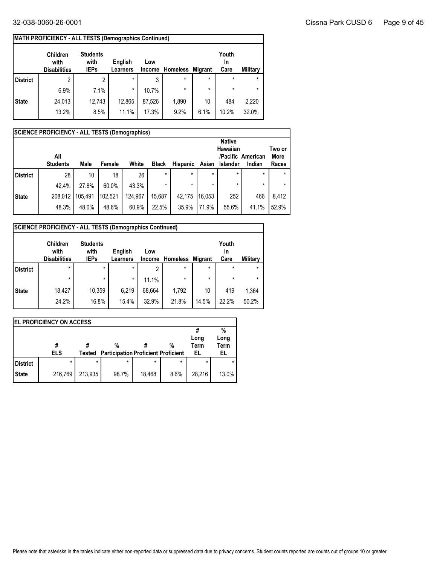|                 | <b>MATH PROFICIENCY - ALL TESTS (Demographics Continued)</b> |                                        |                            |                      |                 |                |                     |                 |
|-----------------|--------------------------------------------------------------|----------------------------------------|----------------------------|----------------------|-----------------|----------------|---------------------|-----------------|
|                 | <b>Children</b><br>with<br><b>Disabilities</b>               | <b>Students</b><br>with<br><b>IEPs</b> | English<br><b>Learners</b> | Low<br><b>Income</b> | <b>Homeless</b> | <b>Migrant</b> | Youth<br>In<br>Care | <b>Military</b> |
| <b>District</b> | 2                                                            | 2                                      | $\star$                    | 3                    | $\star$         | $\star$        | $\star$             | $\star$         |
|                 | 6.9%                                                         | 7.1%                                   | $\star$                    | 10.7%                | $\star$         | $\star$        | $\star$             | $\star$         |
| <b>State</b>    | 24,013                                                       | 12,743                                 | 12,865                     | 87.526               | 1,890           | 10             | 484                 | 2,220           |
|                 | 13.2%                                                        | 8.5%                                   | 11.1%                      | 17.3%                | 9.2%            | 6.1%           | 10.2%               | 32.0%           |

|                 | <b>SCIENCE PROFICIENCY - ALL TESTS (Demographics)</b> |         |         |         |              |          |         |                           |                   |             |
|-----------------|-------------------------------------------------------|---------|---------|---------|--------------|----------|---------|---------------------------|-------------------|-------------|
|                 |                                                       |         |         |         |              |          |         | <b>Native</b><br>Hawaiian |                   | Two or      |
|                 | All                                                   |         |         |         |              |          |         |                           | /Pacific American | <b>More</b> |
|                 | <b>Students</b>                                       | Male    | Female  | White   | <b>Black</b> | Hispanic | Asian   | <b>Islander</b>           | Indian            | Races       |
| <b>District</b> | 28                                                    | 10      | 18      | 26      | $\star$      | $\star$  | $\star$ | $\star$                   | $\star$           |             |
|                 | 42.4%                                                 | 27.8%   | 60.0%   | 43.3%   | $\star$      | $\star$  | $\star$ | $\star$                   | $\star$           |             |
| <b>State</b>    | 208.012                                               | 105.491 | 102.521 | 124,967 | 15,687       | 42.175   | 16.053  | 252                       | 466               | 8.412       |
|                 | 48.3%                                                 | 48.0%   | 48.6%   | 60.9%   | 22.5%        | 35.9%    | 71.9%   | 55.6%                     | 41.1%             | 52.9%       |

|                 | <b>SCIENCE PROFICIENCY - ALL TESTS (Demographics Continued)</b> |                                        |                            |               |                 |                |                     |          |
|-----------------|-----------------------------------------------------------------|----------------------------------------|----------------------------|---------------|-----------------|----------------|---------------------|----------|
|                 | <b>Children</b><br>with<br><b>Disabilities</b>                  | <b>Students</b><br>with<br><b>IEPs</b> | English<br><b>Learners</b> | Low<br>Income | <b>Homeless</b> | <b>Migrant</b> | Youth<br>In<br>Care | Military |
| <b>District</b> | $\star$                                                         | $\star$                                | $\star$                    | 2             | $\star$         | $\star$        | $\star$             | $\star$  |
|                 | $\star$                                                         | $\star$                                | $\star$                    | 11.1%         | $\star$         | $\star$        | $\star$             | $\star$  |
| <b>State</b>    | 18,427                                                          | 10,359                                 | 6.219                      | 68,664        | 1,792           | 10             | 419                 | 1,364    |
|                 | 24.2%                                                           | 16.8%                                  | 15.4%                      | 32.9%         | 21.8%           | 14.5%          | 22.2%               | 50.2%    |

|                 | <b>IEL PROFICIENCY ON ACCESS</b> |         |                                            |         |         |             |             |  |  |  |  |  |  |
|-----------------|----------------------------------|---------|--------------------------------------------|---------|---------|-------------|-------------|--|--|--|--|--|--|
|                 |                                  |         |                                            |         |         |             | %           |  |  |  |  |  |  |
|                 |                                  |         |                                            |         |         | Long        | Long        |  |  |  |  |  |  |
|                 | #                                |         | %                                          |         | %       | <b>Term</b> | <b>Term</b> |  |  |  |  |  |  |
|                 | <b>ELS</b>                       | Tested  | <b>Participation Proficient Proficient</b> |         |         | EL          | EL          |  |  |  |  |  |  |
| <b>District</b> | $\star$                          | $\star$ | $\star$                                    | $\star$ | $\star$ | $\star$     | $\star$     |  |  |  |  |  |  |
| <b>State</b>    | 216,769                          | 213,935 | 98.7%                                      | 18.468  | 8.6%    | 28.216      | 13.0%       |  |  |  |  |  |  |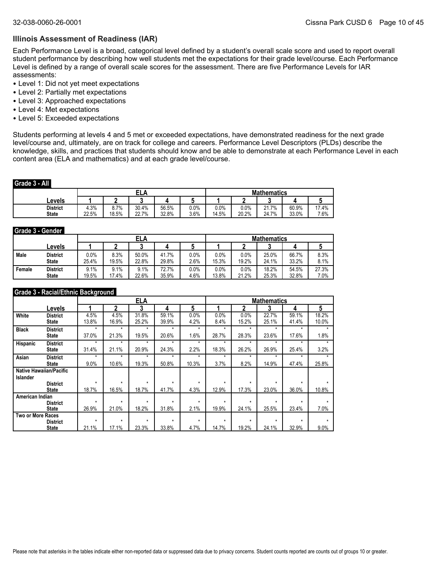#### **Illinois Assessment of Readiness (IAR)**

Each Performance Level is a broad, categorical level defined by a student's overall scale score and used to report overall student performance by describing how well students met the expectations for their grade level/course. Each Performance Level is defined by a range of overall scale scores for the assessment. There are five Performance Levels for IAR assessments:

- Level 1: Did not yet meet expectations
- Level 2: Partially met expectations
- Level 3: Approached expectations
- Level 4: Met expectations
- Level 5: Exceeded expectations

Students performing at levels 4 and 5 met or exceeded expectations, have demonstrated readiness for the next grade level/course and, ultimately, are on track for college and careers. Performance Level Descriptors (PLDs) describe the knowledge, skills, and practices that students should know and be able to demonstrate at each Performance Level in each content area (ELA and mathematics) and at each grade level/course.

#### **Grade 3 - All**

|                                 |               |               | cГ             |                |                 | <b>Mathematics</b> |               |                                         |                |               |
|---------------------------------|---------------|---------------|----------------|----------------|-----------------|--------------------|---------------|-----------------------------------------|----------------|---------------|
| Levels                          |               |               |                |                |                 |                    |               |                                         |                |               |
| <b>District</b><br><b>State</b> | 4.3%<br>22.5% | 8.7%<br>18.5% | 30.4%<br>22.7% | 56.5%<br>32.8% | $0.0\%$<br>3.6% | 0.0%<br>14.5%      | 0.0%<br>20.2% | .7%<br>$\mathbf{A}$<br>4 I . I<br>24.7% | 60.9%<br>33.0% | 17.4%<br>7.6% |

#### **Grade 3 - Gender**

|        |                 |         |       | ELA   |       |      | <b>Mathematics</b> |         |       |       |       |
|--------|-----------------|---------|-------|-------|-------|------|--------------------|---------|-------|-------|-------|
|        | ∟evels          |         |       |       |       |      |                    |         |       |       |       |
| Male   | <b>District</b> | $0.0\%$ | 8.3%  | 50.0% | 41.7% | 0.0% | $0.0\%$            | $0.0\%$ | 25.0% | 66.7% | 8.3%  |
|        | <b>State</b>    | 25.4%   | 19.5% | 22.8% | 29.8% | 2.6% | 15.3%              | 19.2%   | 24.1% | 33.2% | 8.1%  |
| Female | <b>District</b> | 9.1%    | 9.1%  | 9.1%  | 72.7% | 0.0% | 0.0%               | $0.0\%$ | 18.2% | 54.5% | 27.3% |
|        | <b>State</b>    | 19.5%   | 17.4% | 22.6% | 35.9% | 4.6% | 13.8%              | 21.2%   | 25.3% | 32.8% | 7.0%  |

#### **Grade 3 - Racial/Ethnic Background**

|                          |                                |         |         | ELA     |         |         |         |         | <b>Mathematics</b> |         |       |
|--------------------------|--------------------------------|---------|---------|---------|---------|---------|---------|---------|--------------------|---------|-------|
|                          | Levels                         |         | 2       | 3       | 4       | 5       |         | 2       | 3                  | 4       | 5     |
| White                    | <b>District</b>                | 4.5%    | 4.5%    | 31.8%   | 59.1%   | 0.0%    | 0.0%    | 0.0%    | 22.7%              | 59.1%   | 18.2% |
|                          | <b>State</b>                   | 13.8%   | 16.9%   | 25.2%   | 39.9%   | 4.2%    | 8.4%    | 15.2%   | 25.1%              | 41.4%   | 10.0% |
| <b>Black</b>             | <b>District</b>                | $\star$ | $\star$ | $\star$ | $\star$ | $\star$ | $\star$ | $\star$ | $\star$            | $\star$ |       |
|                          | <b>State</b>                   | 37.0%   | 21.3%   | 19.5%   | 20.6%   | 1.6%    | 28.7%   | 28.3%   | 23.6%              | 17.6%   | 1.8%  |
| <b>Hispanic</b>          | <b>District</b>                | $\star$ | $\star$ | $\star$ | $\star$ | $\star$ | $\star$ | $\star$ | $\star$            | $\star$ |       |
|                          | <b>State</b>                   | 31.4%   | 21.1%   | 20.9%   | 24.3%   | 2.2%    | 18.3%   | 26.2%   | 26.9%              | 25.4%   | 3.2%  |
| Asian                    | <b>District</b>                | $\star$ | $\star$ | $\star$ | ÷       | ۰       | ۰       | ÷       | ÷                  | ۰       |       |
|                          | <b>State</b>                   | 9.0%    | 10.6%   | 19.3%   | 50.8%   | 10.3%   | 3.7%    | 8.2%    | 14.9%              | 47.4%   | 25.8% |
|                          | <b>Native Hawaiian/Pacific</b> |         |         |         |         |         |         |         |                    |         |       |
| Islander                 |                                |         |         |         |         |         |         |         |                    |         |       |
|                          | <b>District</b>                | $\star$ | $\star$ | $\star$ | $\star$ | $\star$ | $\star$ | $\star$ | $\star$            | $\star$ |       |
|                          | <b>State</b>                   | 18.7%   | 16.5%   | 18.7%   | 41.7%   | 4.3%    | 12.9%   | 17.3%   | 23.0%              | 36.0%   | 10.8% |
| American Indian          |                                |         |         |         |         |         |         |         |                    |         |       |
|                          | <b>District</b>                | $\star$ | $\star$ | $\star$ | $\star$ | $\star$ | $\star$ | $\star$ | $\star$            | $\star$ |       |
|                          | <b>State</b>                   | 26.9%   | 21.0%   | 18.2%   | 31.8%   | 2.1%    | 19.9%   | 24.1%   | 25.5%              | 23.4%   | 7.0%  |
| <b>Two or More Races</b> |                                |         |         |         |         |         |         |         |                    |         |       |
|                          | <b>District</b>                | $\star$ | $\star$ | $\star$ | $\star$ | $\star$ | $\star$ | $\star$ | ÷                  | ÷       |       |
|                          | <b>State</b>                   | 21.1%   | 17.1%   | 23.3%   | 33.8%   | 4.7%    | 14.7%   | 19.2%   | 24.1%              | 32.9%   | 9.0%  |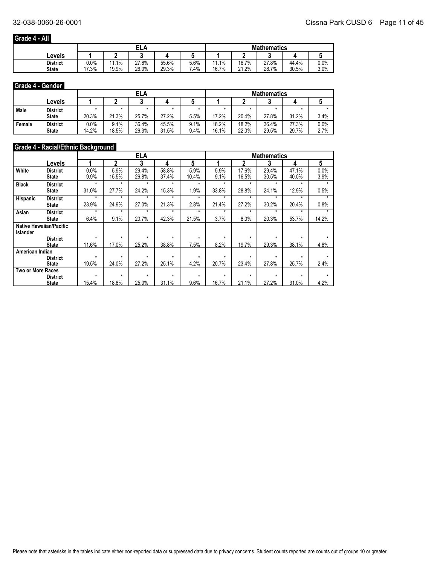## **Grade 4 - All**

|                 |         |             | EL,   |       |        | <b>Mathematics</b> |       |       |       |      |
|-----------------|---------|-------------|-------|-------|--------|--------------------|-------|-------|-------|------|
| Levels          |         |             |       |       |        |                    |       |       |       |      |
| <b>District</b> | $0.0\%$ | 1.1%<br>4 A | 27.8% | 55.6% | 5.6%   | 1.1%<br>44         | 16.7% | 27.8% | 44.4% | 0.0% |
| <b>State</b>    | 7.3%    | 19.9%       | 26.0% | 29.3% | $.4\%$ | 16.7%              | 21.2% | 28.7% | 30.5% | 3.0% |

#### **Grade 4 - Gender**

|        |                 |         |       | ELA   |       |      | <b>Mathematics</b> |       |       |       |      |
|--------|-----------------|---------|-------|-------|-------|------|--------------------|-------|-------|-------|------|
|        | Levels          |         |       |       |       |      |                    |       |       |       |      |
| Male   | <b>District</b> |         |       |       |       |      |                    |       |       |       |      |
|        | <b>State</b>    | 20.3%   | 21.3% | 25.7% | 27.2% | 5.5% | 17.2%              | 20.4% | 27.8% | 31.2% | 3.4% |
| Female | <b>District</b> | $0.0\%$ | 9.1%  | 36.4% | 45.5% | 9.1% | 18.2%              | 18.2% | 36.4% | 27.3% | 0.0% |
|        | <b>State</b>    | 14.2%   | 18.5% | 26.3% | 31.5% | 9.4% | 16.1%              | 22.0% | 29.5% | 29.7% | 2.7% |

## **Grade 4 - Racial/Ethnic Background**

|                          |                                |         |         | <b>ELA</b> |         |         |         |         | <b>Mathematics</b> |         |       |
|--------------------------|--------------------------------|---------|---------|------------|---------|---------|---------|---------|--------------------|---------|-------|
|                          | Levels                         |         | 2       | 3          | 4       | 5       |         | 2       | 3                  | 4       | 5     |
| White                    | <b>District</b>                | 0.0%    | 5.9%    | 29.4%      | 58.8%   | 5.9%    | 5.9%    | 17.6%   | 29.4%              | 47.1%   | 0.0%  |
|                          | State                          | 9.9%    | 15.5%   | 26.8%      | 37.4%   | 10.4%   | 9.1%    | 16.5%   | 30.5%              | 40.0%   | 3.9%  |
| <b>Black</b>             | <b>District</b>                | $\star$ | $\star$ | $\star$    | $\star$ | $\star$ | ÷       | ۰       | ۰                  | ÷       |       |
|                          | State                          | 31.0%   | 27.7%   | 24.2%      | 15.3%   | 1.9%    | 33.8%   | 28.8%   | 24.1%              | 12.9%   | 0.5%  |
| <b>Hispanic</b>          | <b>District</b>                | $\star$ | $\star$ | $\star$    | $\star$ | $\star$ | $\star$ | $\star$ | $\star$            | $\star$ |       |
|                          | State                          | 23.9%   | 24.9%   | 27.0%      | 21.3%   | 2.8%    | 21.4%   | 27.2%   | 30.2%              | 20.4%   | 0.8%  |
| Asian                    | <b>District</b>                | $\star$ | $\star$ | $\star$    | $\star$ | *       | $\star$ | $\star$ | $\star$            | ÷       |       |
|                          | State                          | 6.4%    | 9.1%    | 20.7%      | 42.3%   | 21.5%   | 3.7%    | 8.0%    | 20.3%              | 53.7%   | 14.2% |
|                          | <b>Native Hawaiian/Pacific</b> |         |         |            |         |         |         |         |                    |         |       |
| <b>Islander</b>          |                                |         |         |            |         |         |         |         |                    |         |       |
|                          | <b>District</b>                | $\star$ | $\star$ | $\star$    | $\star$ | ÷       | ۰       | $\star$ | $\star$            | $\star$ |       |
|                          | State                          | 11.6%   | 17.0%   | 25.2%      | 38.8%   | 7.5%    | 8.2%    | 19.7%   | 29.3%              | 38.1%   | 4.8%  |
| American Indian          |                                |         |         |            |         |         |         |         |                    |         |       |
|                          | <b>District</b>                | $\star$ | $\star$ | $\star$    | $\star$ | $\star$ | $\star$ | $\star$ | $\star$            | $\star$ |       |
|                          | State                          | 19.5%   | 24.0%   | 27.2%      | 25.1%   | 4.2%    | 20.7%   | 23.4%   | 27.8%              | 25.7%   | 2.4%  |
| <b>Two or More Races</b> |                                |         |         |            |         |         |         |         |                    |         |       |
|                          | <b>District</b>                | $\star$ | $\star$ | $\star$    | $\star$ | *       | $\star$ | $\star$ | $\star$            | $\star$ |       |
|                          | <b>State</b>                   | 15.4%   | 18.8%   | 25.0%      | 31.1%   | 9.6%    | 16.7%   | 21.1%   | 27.2%              | 31.0%   | 4.2%  |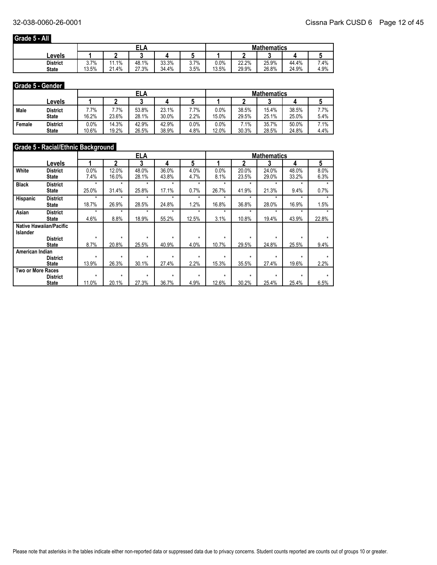## **Grade 5 - All**

|                 |           |             | EL,   |       |           | <b>Mathematics</b> |       |       |       |      |  |
|-----------------|-----------|-------------|-------|-------|-----------|--------------------|-------|-------|-------|------|--|
| Levels          |           |             |       |       |           |                    |       |       |       |      |  |
| <b>District</b> | 7%<br>J.I | 1.1%<br>4 A | 48.1% | 33.3% | 7%<br>J.I | $0.0\%$            | 22.2% | 25.9% | 44.4% | 7.4% |  |
| <b>State</b>    | 13.5%     | 21.4%       | 27.3% | 34.4% | 3.5%      | 13.5%              | 29.9% | 26.8% | 24.9% | 4.9% |  |

#### **Grade 5 - Gender**

|        |                 |         |        | ELA   |       |         | <b>Mathematics</b> |       |       |       |      |
|--------|-----------------|---------|--------|-------|-------|---------|--------------------|-------|-------|-------|------|
|        | Levels          |         |        |       |       |         |                    |       |       |       |      |
| Male   | District        | $.7\%$  | $.7\%$ | 53.8% | 23.1% | $.7\%$  | 0.0%               | 38.5% | 15.4% | 38.5% | 7.7% |
|        | <b>State</b>    | 16.2%   | 23.6%  | 28.1% | 30.0% | 2.2%    | 15.0%              | 29.5% | 25.1% | 25.0% | 5.4% |
| Female | <b>District</b> | $0.0\%$ | 14.3%  | 42.9% | 42.9% | $0.0\%$ | 0.0%               | 7.1%  | 35.7% | 50.0% | '.1% |
|        | <b>State</b>    | 10.6%   | 19.2%  | 26.5% | 38.9% | 4.8%    | 12.0%              | 30.3% | 28.5% | 24.8% | 4.4% |

## **Grade 5 - Racial/Ethnic Background**

|                   |                                |         |         | ELA     |         |         |         |         | <b>Mathematics</b> |         |       |
|-------------------|--------------------------------|---------|---------|---------|---------|---------|---------|---------|--------------------|---------|-------|
|                   | Levels                         |         | 2       | 3       | 4       | 5       |         | 2       | 3                  | 4       | 5     |
| White             | <b>District</b>                | 0.0%    | 12.0%   | 48.0%   | 36.0%   | 4.0%    | 0.0%    | 20.0%   | 24.0%              | 48.0%   | 8.0%  |
|                   | State                          | 7.4%    | 16.0%   | 28.1%   | 43.8%   | 4.7%    | 8.1%    | 23.5%   | 29.0%              | 33.2%   | 6.3%  |
| <b>Black</b>      | <b>District</b>                | $\star$ | $\star$ | $\star$ | $\star$ | $\star$ | ÷       | $\star$ | ۰                  | ÷       | ۰     |
|                   | State                          | 25.0%   | 31.4%   | 25.8%   | 17.1%   | 0.7%    | 26.7%   | 41.9%   | 21.3%              | 9.4%    | 0.7%  |
| Hispanic          | <b>District</b>                | $\star$ | $\star$ | $\star$ | ÷       | ÷       | ÷       | ۰       | ÷                  | ÷       |       |
|                   | State                          | 18.7%   | 26.9%   | 28.5%   | 24.8%   | 1.2%    | 16.8%   | 36.8%   | 28.0%              | 16.9%   | 1.5%  |
| Asian             | <b>District</b>                | $\star$ | $\star$ | $\star$ | $\star$ | ÷       | ÷       | ۰       | ۰                  | ÷       |       |
|                   | State                          | 4.6%    | 8.8%    | 18.9%   | 55.2%   | 12.5%   | 3.1%    | 10.8%   | 19.4%              | 43.9%   | 22.8% |
|                   | <b>Native Hawaiian/Pacific</b> |         |         |         |         |         |         |         |                    |         |       |
| <b>Islander</b>   |                                |         |         |         |         |         |         |         |                    |         |       |
|                   | <b>District</b>                | $\star$ | $\star$ | $\star$ | $\star$ | $\star$ | $\star$ | $\star$ | $\star$            | $\star$ |       |
|                   | <b>State</b>                   | 8.7%    | 20.8%   | 25.5%   | 40.9%   | 4.0%    | 10.7%   | 29.5%   | 24.8%              | 25.5%   | 9.4%  |
| American Indian   |                                |         |         |         |         |         |         |         |                    |         |       |
|                   | <b>District</b>                | $\star$ | $\star$ | $\star$ | $\star$ | $\star$ | $\star$ | $\star$ | $\star$            | $\star$ |       |
|                   | <b>State</b>                   | 13.9%   | 26.3%   | 30.1%   | 27.4%   | 2.2%    | 15.3%   | 35.5%   | 27.4%              | 19.6%   | 2.2%  |
| Two or More Races |                                | $\star$ | $\star$ | $\star$ | $\star$ | $\star$ | $\star$ | $\star$ | $\star$            | $\star$ |       |
|                   | <b>District</b>                |         |         |         |         |         |         |         |                    |         |       |
|                   | <b>State</b>                   | 11.0%   | 20.1%   | 27.3%   | 36.7%   | 4.9%    | 12.6%   | 30.2%   | 25.4%              | 25.4%   | 6.5%  |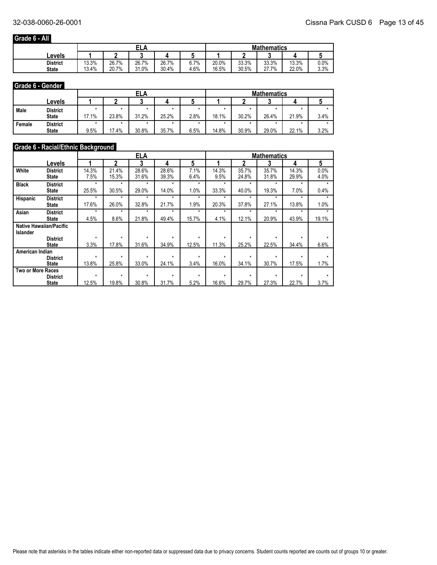## **Grade 6 - All**

|                 |       |       | EL,   |       |      | <b>Mathematics</b> |       |       |       |                 |  |
|-----------------|-------|-------|-------|-------|------|--------------------|-------|-------|-------|-----------------|--|
| Levels          |       |       |       |       |      |                    |       |       |       |                 |  |
| <b>District</b> | 13.3% | 26.7% | 26.7% | 26.7% | 6.7% | 20.0%              | 33.3% | 33.3% | 13.3% | 0.0%            |  |
| <b>State</b>    | 13.4% | 20.7% | 31.0% | 30.4% | 4.6% | 16.5%              | 30.5% | 27.7% | 22.0% | 3.30/<br>0/ ن.پ |  |

#### **Grade 6 - Gender**

|        |                 |       |       | <b>ELA</b> |       |      | <b>Mathematics</b> |       |       |       |      |
|--------|-----------------|-------|-------|------------|-------|------|--------------------|-------|-------|-------|------|
|        | Levels          |       |       |            |       |      |                    |       |       |       |      |
| Male   | <b>District</b> |       |       |            |       |      |                    |       |       |       |      |
|        | <b>State</b>    | 17.1% | 23.8% | 31.2%      | 25.2% | 2.8% | 18.1%              | 30.2% | 26.4% | 21.9% | 3.4% |
| Female | <b>District</b> |       |       |            |       |      |                    |       |       |       |      |
|        | <b>State</b>    | 9.5%  | 17.4% | 30.8%      | 35.7% | 6.5% | 14.8%              | 30.9% | 29.0% | 22.1% | 3.2% |

## **Grade 6 - Racial/Ethnic Background**

|                          |                                |         |         | <b>ELA</b> |         |         |         |         | <b>Mathematics</b> |         |                 |
|--------------------------|--------------------------------|---------|---------|------------|---------|---------|---------|---------|--------------------|---------|-----------------|
|                          | Levels                         |         | 2       | 3          | 4       | 5       |         | 2       | 3                  | 4       | $5\phantom{.0}$ |
| White                    | <b>District</b>                | 14.3%   | 21.4%   | 28.6%      | 28.6%   | 7.1%    | 14.3%   | 35.7%   | 35.7%              | 14.3%   | 0.0%            |
|                          | State                          | 7.5%    | 15.3%   | 31.6%      | 39.3%   | 6.4%    | 9.5%    | 24.8%   | 31.8%              | 29.9%   | 4.0%            |
| <b>Black</b>             | <b>District</b>                | $\star$ | $\star$ | $\star$    | $\star$ | $\star$ | $\star$ | $\star$ | $\star$            | $\star$ | ÷               |
|                          | State                          | 25.5%   | 30.5%   | 29.0%      | 14.0%   | 1.0%    | 33.3%   | 40.0%   | 19.3%              | 7.0%    | 0.4%            |
| Hispanic                 | <b>District</b>                | $\star$ | $\star$ | $\star$    | $\star$ | $\star$ | $\star$ | $\star$ | $\star$            | ÷       |                 |
|                          | State                          | 17.6%   | 26.0%   | 32.8%      | 21.7%   | 1.9%    | 20.3%   | 37.8%   | 27.1%              | 13.8%   | 1.0%            |
| Asian                    | <b>District</b>                | $\star$ | $\star$ | $\star$    | $\star$ | ÷       | *       | ۰       | ÷                  | ÷       |                 |
|                          | State                          | 4.5%    | 8.6%    | 21.8%      | 49.4%   | 15.7%   | 4.1%    | 12.1%   | 20.9%              | 43.9%   | 19.1%           |
|                          | <b>Native Hawaiian/Pacific</b> |         |         |            |         |         |         |         |                    |         |                 |
| <b>Islander</b>          |                                |         |         |            |         |         |         |         |                    |         |                 |
|                          | <b>District</b>                | $\star$ | $\star$ | $\star$    | $\star$ | $\star$ | $\star$ | $\star$ | $\star$            | $\star$ |                 |
|                          | <b>State</b>                   | 3.3%    | 17.8%   | 31.6%      | 34.9%   | 12.5%   | 11.3%   | 25.2%   | 22.5%              | 34.4%   | 6.6%            |
| American Indian          |                                |         |         |            |         |         |         |         |                    |         |                 |
|                          | <b>District</b>                | $\star$ | $\star$ | $\star$    | $\star$ | $\star$ | $\star$ | $\star$ | $\star$            | $\star$ |                 |
|                          | <b>State</b>                   | 13.8%   | 25.8%   | 33.0%      | 24.1%   | 3.4%    | 16.0%   | 34.1%   | 30.7%              | 17.5%   | 1.7%            |
| <b>Two or More Races</b> |                                |         |         |            |         |         |         |         |                    |         |                 |
|                          | <b>District</b>                | $\star$ | $\star$ | $\star$    | $\star$ | *       | $\star$ | $\star$ | $\star$            | $\star$ |                 |
|                          | <b>State</b>                   | 12.5%   | 19.8%   | 30.8%      | 31.7%   | 5.2%    | 16.6%   | 29.7%   | 27.3%              | 22.7%   | 3.7%            |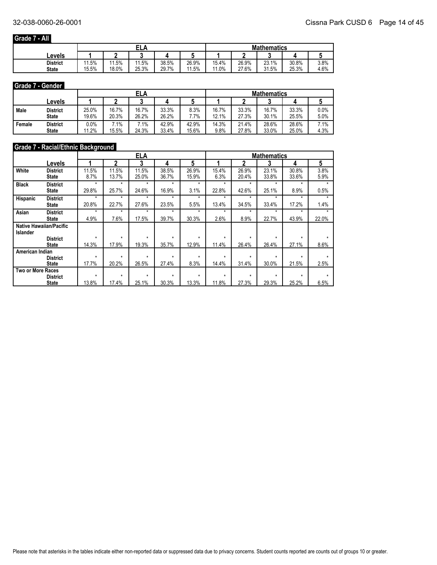## **Grade 7 - All**

|                 |                        |       | гι<br>л<br>ᇅ |       |       | <b>Mathematics</b> |       |       |       |      |  |
|-----------------|------------------------|-------|--------------|-------|-------|--------------------|-------|-------|-------|------|--|
| Levels          |                        |       |              |       |       |                    |       |       |       |      |  |
| <b>District</b> | 1.5%<br>$\overline{A}$ | 1.5%  | 1.5%         | 38.5% | 26.9% | 15.4%              | 26.9% | 23.1% | 30.8% | 3.8% |  |
| <b>State</b>    | 15.5%                  | 18.0% | 25.3%        | 29.7% | 11.5% | 11.0%              | 27.6% | 31.5% | 25.3% | 4.6% |  |

#### **Grade 7 - Gender**

|        |                 |         |        | ELA    |       |       | <b>Mathematics</b> |       |       |       |        |
|--------|-----------------|---------|--------|--------|-------|-------|--------------------|-------|-------|-------|--------|
|        | Levels          |         |        |        |       |       |                    |       |       |       |        |
| Male   | <b>District</b> | 25.0%   | 16.7%  | 16.7%  | 33.3% | 8.3%  | 16.7%              | 33.3% | 16.7% | 33.3% | 0.0%   |
|        | <b>State</b>    | 19.6%   | 20.3%  | 26.2%  | 26.2% | .7%   | 12.1%              | 27.3% | 30.1% | 25.5% | 5.0%   |
| Female | <b>District</b> | $0.0\%$ | $.1\%$ | $.1\%$ | 42.9% | 42.9% | 14.3%              | 21.4% | 28.6% | 28.6% | $.1\%$ |
|        | <b>State</b>    | 11.2%   | 15.5%  | 24.3%  | 33.4% | 15.6% | 9.8%               | 27.8% | 33.0% | 25.0% | 4.3%   |

## **Grade 7 - Racial/Ethnic Background**

|                          |                                |         |         | ELA     |         |         |         |         | <b>Mathematics</b> |         |         |
|--------------------------|--------------------------------|---------|---------|---------|---------|---------|---------|---------|--------------------|---------|---------|
|                          | Levels                         |         | 2       | 3       | 4       | 5       |         | 2       | 3                  | 4       | 5       |
| White                    | <b>District</b>                | 11.5%   | 11.5%   | 11.5%   | 38.5%   | 26.9%   | 15.4%   | 26.9%   | 23.1%              | 30.8%   | 3.8%    |
|                          | State                          | 8.7%    | 13.7%   | 25.0%   | 36.7%   | 15.9%   | 6.3%    | 20.4%   | 33.8%              | 33.6%   | 5.9%    |
| <b>Black</b>             | <b>District</b>                | $\star$ | $\star$ | $\star$ | $\star$ | $\star$ | $\star$ | $\star$ | $\star$            | $\star$ | $\star$ |
|                          | State                          | 29.8%   | 25.7%   | 24.6%   | 16.9%   | 3.1%    | 22.8%   | 42.6%   | 25.1%              | 8.9%    | 0.5%    |
| <b>Hispanic</b>          | <b>District</b>                | $\star$ | $\star$ | $\star$ | $\star$ | $\star$ | $\star$ | $\star$ | $\star$            | ÷       | ۰       |
|                          | State                          | 20.8%   | 22.7%   | 27.6%   | 23.5%   | 5.5%    | 13.4%   | 34.5%   | 33.4%              | 17.2%   | 1.4%    |
| Asian                    | <b>District</b>                | $\star$ | $\star$ | $\star$ | $\star$ | ۰       | ÷       | ۰       | ۰                  | ۰       |         |
|                          | <b>State</b>                   | 4.9%    | 7.6%    | 17.5%   | 39.7%   | 30.3%   | 2.6%    | 8.9%    | 22.7%              | 43.9%   | 22.0%   |
|                          | <b>Native Hawaiian/Pacific</b> |         |         |         |         |         |         |         |                    |         |         |
| <b>Islander</b>          |                                |         |         |         |         |         |         |         |                    |         |         |
|                          | <b>District</b>                | $\star$ | $\star$ | $\star$ | $\star$ | $\star$ | $\star$ | $\star$ | $\star$            | $\star$ |         |
|                          | <b>State</b>                   | 14.3%   | 17.9%   | 19.3%   | 35.7%   | 12.9%   | 11.4%   | 26.4%   | 26.4%              | 27.1%   | 8.6%    |
| American Indian          |                                |         |         |         |         |         |         |         |                    |         |         |
|                          | <b>District</b>                | $\star$ | $\star$ | $\star$ | $\star$ | $\star$ | $\star$ | $\star$ | $\star$            | $\star$ |         |
|                          | <b>State</b>                   | 17.7%   | 20.2%   | 26.5%   | 27.4%   | 8.3%    | 14.4%   | 31.4%   | 30.0%              | 21.5%   | 2.5%    |
| <b>Two or More Races</b> |                                |         |         |         |         |         |         |         |                    |         |         |
|                          | <b>District</b>                | $\star$ | $\star$ | $\star$ | $\star$ | $\star$ | $\star$ | $\star$ | $\star$            | $\star$ |         |
|                          | <b>State</b>                   | 13.8%   | 17.4%   | 25.1%   | 30.3%   | 13.3%   | 11.8%   | 27.3%   | 29.3%              | 25.2%   | 6.5%    |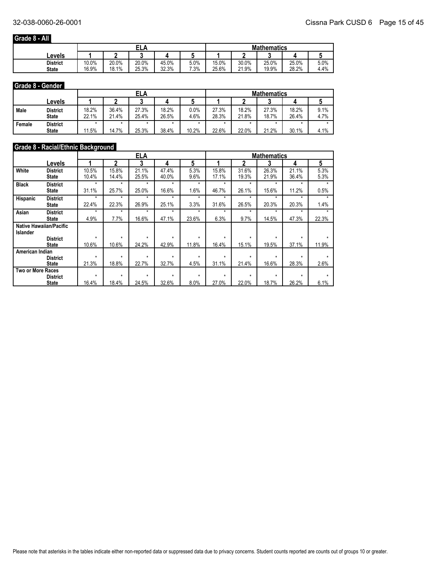## **Grade 8 - All**

|                 |       |       | EL,   |       |        | <b>Mathematics</b> |       |       |       |      |  |
|-----------------|-------|-------|-------|-------|--------|--------------------|-------|-------|-------|------|--|
| Levels          |       |       |       |       |        |                    |       |       |       |      |  |
| <b>District</b> | 10.0% | 20.0% | 20.0% | 45.0% | 5.0%   | 15.0%              | 30.0% | 25.0% | 25.0% | 5.0% |  |
| <b>State</b>    | 16.9% | 18.1% | 25.3% | 32.3% | $.3\%$ | 25.6%              | 21.9% | 19.9% | 28.2% | 4.4% |  |

#### **Grade 8 - Gender**

|        |                                 |                |                | ELA            |                |              | <b>Mathematics</b> |                |                |                |              |  |
|--------|---------------------------------|----------------|----------------|----------------|----------------|--------------|--------------------|----------------|----------------|----------------|--------------|--|
|        | Levels                          |                |                |                |                |              |                    |                |                |                |              |  |
| Male   | <b>District</b><br><b>State</b> | 18.2%<br>22.1% | 36.4%<br>21.4% | 27.3%<br>25.4% | 18.2%<br>26.5% | 0.0%<br>4.6% | 27.3%<br>28.3%     | 18.2%<br>21.8% | 27.3%<br>18.7% | 18.2%<br>26.4% | 9.1%<br>4.7% |  |
| Female | <b>District</b><br><b>State</b> | 11.5%          | 14.7%          | 25.3%          | 38.4%          | 10.2%        | 22.6%              | 22.0%          | 21.2%          | 30.1%          | 4.1%         |  |

## **Grade 8 - Racial/Ethnic Background**

|                          |                                |         |         | <b>ELA</b> |         |         |         |         | <b>Mathematics</b> |         |       |
|--------------------------|--------------------------------|---------|---------|------------|---------|---------|---------|---------|--------------------|---------|-------|
|                          | Levels                         |         | 2       | 3          | 4       | 5       |         | 2       | 3                  | 4       | 5     |
| White                    | <b>District</b>                | 10.5%   | 15.8%   | 21.1%      | 47.4%   | 5.3%    | 15.8%   | 31.6%   | 26.3%              | 21.1%   | 5.3%  |
|                          | State                          | 10.4%   | 14.4%   | 25.5%      | 40.0%   | 9.6%    | 17.1%   | 19.3%   | 21.9%              | 36.4%   | 5.3%  |
| <b>Black</b>             | <b>District</b>                | $\star$ | $\star$ | $\star$    | $\star$ | $\star$ | $\star$ | $\star$ | $\star$            | ÷       |       |
|                          | State                          | 31.1%   | 25.7%   | 25.0%      | 16.6%   | 1.6%    | 46.7%   | 26.1%   | 15.6%              | 11.2%   | 0.5%  |
| <b>Hispanic</b>          | <b>District</b>                | $\star$ | $\star$ | $\star$    | $\star$ | $\star$ | $\star$ | $\star$ | $\star$            | $\star$ |       |
|                          | State                          | 22.4%   | 22.3%   | 26.9%      | 25.1%   | 3.3%    | 31.6%   | 26.5%   | 20.3%              | 20.3%   | 1.4%  |
| Asian                    | <b>District</b>                | $\star$ | $\star$ | $\star$    | $\star$ | $\star$ | $\star$ | $\star$ | $\star$            | ÷       |       |
|                          | State                          | 4.9%    | 7.7%    | 16.6%      | 47.1%   | 23.6%   | 6.3%    | 9.7%    | 14.5%              | 47.3%   | 22.3% |
|                          | <b>Native Hawaiian/Pacific</b> |         |         |            |         |         |         |         |                    |         |       |
| <b>Islander</b>          |                                |         |         |            |         |         |         |         |                    |         |       |
|                          | <b>District</b>                | $\star$ | $\star$ | $\star$    | $\star$ | $\star$ | $\star$ | $\star$ | $\star$            | ÷       |       |
|                          | <b>State</b>                   | 10.6%   | 10.6%   | 24.2%      | 42.9%   | 11.8%   | 16.4%   | 15.1%   | 19.5%              | 37.1%   | 11.9% |
| American Indian          |                                |         |         |            |         |         |         |         |                    |         |       |
|                          | <b>District</b>                | $\star$ | $\star$ | $\star$    | $\star$ | $\star$ | $\star$ | $\star$ | $\star$            | $\star$ |       |
|                          | <b>State</b>                   | 21.3%   | 18.8%   | 22.7%      | 32.7%   | 4.5%    | 31.1%   | 21.4%   | 16.6%              | 28.3%   | 2.6%  |
| <b>Two or More Races</b> |                                |         |         |            |         |         |         |         |                    |         |       |
|                          | <b>District</b>                | $\star$ | $\star$ | $\star$    | $\star$ | $\star$ | $\star$ | $\star$ | $\star$            | $\star$ |       |
|                          | <b>State</b>                   | 16.4%   | 18.4%   | 24.5%      | 32.6%   | 8.0%    | 27.0%   | 22.0%   | 18.7%              | 26.2%   | 6.1%  |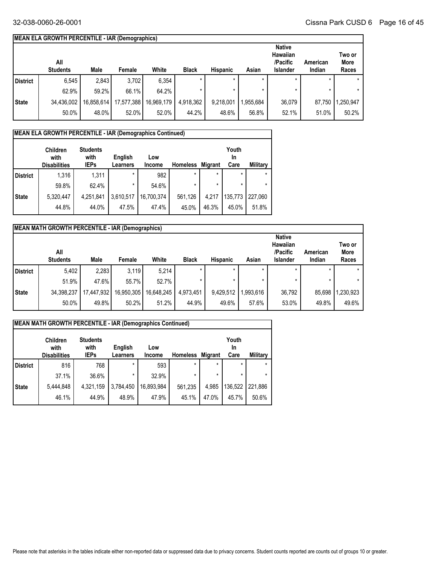## **MEAN ELA GROWTH PERCENTILE - IAR (Demographics)**

|              | All<br><b>Students</b> | Male       | Female     | White      | <b>Black</b> | <b>Hispanic</b> | Asian    | <b>Native</b><br>Hawaiian<br>/Pacific<br>Islander | American<br>Indian | Two or<br>More<br>Races |
|--------------|------------------------|------------|------------|------------|--------------|-----------------|----------|---------------------------------------------------|--------------------|-------------------------|
| l District   | 6,545                  | 2,843      | 3,702      | 6,354      | $\star$      | $\star$         |          | $\star$                                           |                    | $\star$                 |
|              | 62.9%                  | 59.2%      | 66.1%      | 64.2%      | $\star$      |                 |          |                                                   |                    | $\star$                 |
| <b>State</b> | 34,436,002             | 16,858,614 | 17,577,388 | 16,969,179 | 4,918,362    | 9,218,001       | .955.684 | 36,079                                            | 87.750             | ,250,947                |
|              | 50.0%                  | 48.0%      | 52.0%      | 52.0%      | 44.2%        | 48.6%           | 56.8%    | 52.1%                                             | 51.0%              | 50.2%                   |

#### **MEAN ELA GROWTH PERCENTILE - IAR (Demographics Continued)**

|                 | <b>Children</b><br>with<br><b>Disabilities</b> | <b>Students</b><br>with<br><b>IEPs</b> | English<br>Learners | Low<br>Income | <b>Homeless</b> | <b>Migrant</b> | Youth<br>In<br>Care | <b>Military</b> |
|-----------------|------------------------------------------------|----------------------------------------|---------------------|---------------|-----------------|----------------|---------------------|-----------------|
| <b>District</b> | 1.316                                          | 1,311                                  | $\star$             | 982           | $\star$         | $\star$        | $\star$             | $\star$         |
|                 | 59.8%                                          | 62.4%                                  | $\star$             | 54.6%         | $\star$         | $\star$        |                     | $\star$         |
| <b>State</b>    | 5,320,447                                      | 4,251,841                              | 3,610,517           | 16,700,374    | 561,126         | 4,217          | 135,773             | 227.060         |
|                 | 44.8%                                          | 44.0%                                  | 47.5%               | 47.4%         | 45.0%           | 46.3%          | 45.0%               | 51.8%           |

|              | <b>MEAN MATH GROWTH PERCENTILE - IAR (Demographics)</b> |            |            |            |              |                 |           |                                                          |                    |                         |  |
|--------------|---------------------------------------------------------|------------|------------|------------|--------------|-----------------|-----------|----------------------------------------------------------|--------------------|-------------------------|--|
|              | All<br><b>Students</b>                                  | Male       | Female     | White      | <b>Black</b> | <b>Hispanic</b> | Asian     | <b>Native</b><br>Hawaiian<br>/Pacific<br><b>Islander</b> | American<br>Indian | Two or<br>More<br>Races |  |
| District     | 5,402                                                   | 2,283      | 3,119      | 5,214      |              |                 |           |                                                          |                    |                         |  |
|              | 51.9%                                                   | 47.6%      | 55.7%      | 52.7%      |              |                 |           | $\star$                                                  |                    |                         |  |
| <b>State</b> | 34,398,237                                              | 17,447,932 | 16,950,305 | 16,648,245 | 4,973,451    | 9,429,512       | 1,993,616 | 36.792                                                   | 85,698             | 1,230,923               |  |
|              | 50.0%                                                   | 49.8%      | 50.2%      | 51.2%      | 44.9%        | 49.6%           | 57.6%     | 53.0%                                                    | 49.8%              | 49.6%                   |  |

|                 | MEAN MATH GROWTH PERCENTILE - IAR (Demographics Continued) |                                        |                     |                      |                 |                |                     |                 |  |
|-----------------|------------------------------------------------------------|----------------------------------------|---------------------|----------------------|-----------------|----------------|---------------------|-----------------|--|
|                 | <b>Children</b><br>with<br><b>Disabilities</b>             | <b>Students</b><br>with<br><b>IEPs</b> | English<br>Learners | Low<br><b>Income</b> | <b>Homeless</b> | <b>Migrant</b> | Youth<br>In<br>Care | <b>Military</b> |  |
| <b>District</b> | 816                                                        | 768                                    | $\star$             | 593                  | $\star$         | $\star$        | $\star$             |                 |  |
|                 | 37.1%                                                      | 36.6%                                  | $\star$             | 32.9%                | $\star$         |                | *                   |                 |  |
| <b>State</b>    | 5,444,848                                                  | 4,321,159                              | 3,784,450           | 16,893,984           | 561,235         | 4,985          | 136,522             | 221,886         |  |
|                 | 46.1%                                                      | 44.9%                                  | 48.9%               | 47.9%                | 45.1%           | 47.0%          | 45.7%               | 50.6%           |  |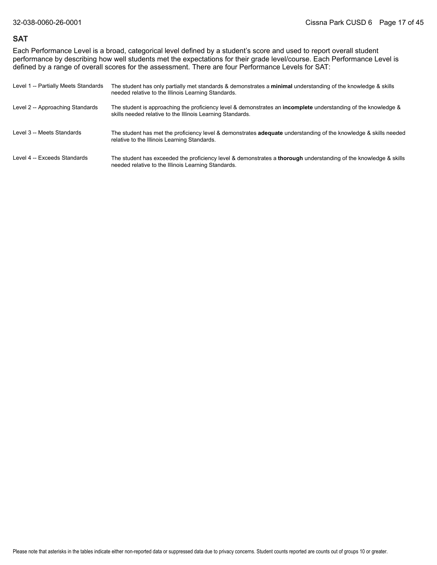#### **SAT**

Each Performance Level is a broad, categorical level defined by a student's score and used to report overall student performance by describing how well students met the expectations for their grade level/course. Each Performance Level is defined by a range of overall scores for the assessment. There are four Performance Levels for SAT:

| Level 1 -- Partially Meets Standards | The student has only partially met standards & demonstrates a minimal understanding of the knowledge & skills<br>needed relative to the Illinois Learning Standards.                |
|--------------------------------------|-------------------------------------------------------------------------------------------------------------------------------------------------------------------------------------|
| Level 2 -- Approaching Standards     | The student is approaching the proficiency level & demonstrates an <b>incomplete</b> understanding of the knowledge &<br>skills needed relative to the Illinois Learning Standards. |
| Level 3 -- Meets Standards           | The student has met the proficiency level & demonstrates <b>adequate</b> understanding of the knowledge & skills needed<br>relative to the Illinois Learning Standards.             |
| Level 4 -- Exceeds Standards         | The student has exceeded the proficiency level & demonstrates a <b>thorough</b> understanding of the knowledge & skills<br>needed relative to the Illinois Learning Standards.      |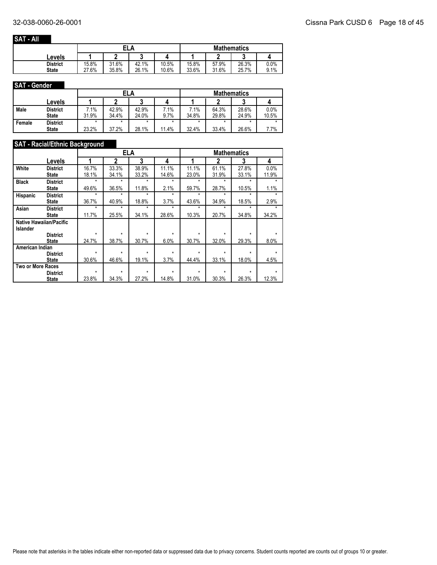## **SAT - All**

|                 |       | ELA   |       |       | <b>Mathematics</b> |       |       |      |  |
|-----------------|-------|-------|-------|-------|--------------------|-------|-------|------|--|
| Levels          |       |       |       |       |                    |       |       |      |  |
| <b>District</b> | 15.8% | 31.6% | 42.1% | 10.5% | 15.8%              | 57.9% | 26.3% | 0.0% |  |
| <b>State</b>    | 27.6% | 35.8% | 26.1% | 10.6% | 33.6%              | 31.6% | 25.7% | 9.1% |  |

#### **SAT - Gender**

|        |                 |        | ELA     |       |       | <b>Mathematics</b> |       |       |       |  |
|--------|-----------------|--------|---------|-------|-------|--------------------|-------|-------|-------|--|
|        | Levels          |        |         |       |       |                    |       |       |       |  |
| Male   | <b>District</b> | $.1\%$ | 42.9%   | 42.9% | 7.1%  | 7.1%               | 64.3% | 28.6% | 0.0%  |  |
|        | <b>State</b>    | 31.9%  | 34.4%   | 24.0% | 9.7%  | 34.8%              | 29.8% | 24.9% | 10.5% |  |
| Female | <b>District</b> |        | $\star$ | ÷     | *     |                    |       | *     |       |  |
|        | <b>State</b>    | 23.2%  | 37.2%   | 28.1% | 11.4% | 32.4%              | 33.4% | 26.6% | 7.7%  |  |

## **SAT - Racial/Ethnic Background**

|                   |                                |         | <b>ELA</b> |         |         |         | <b>Mathematics</b> |         |         |
|-------------------|--------------------------------|---------|------------|---------|---------|---------|--------------------|---------|---------|
|                   | Levels                         |         | 2          | 3       | 4       |         | 2                  | 3       | 4       |
| White             | <b>District</b>                | 16.7%   | 33.3%      | 38.9%   | 11.1%   | 11.1%   | 61.1%              | 27.8%   | 0.0%    |
|                   | <b>State</b>                   | 18.1%   | 34.1%      | 33.2%   | 14.6%   | 23.0%   | 31.9%              | 33.1%   | 11.9%   |
| <b>Black</b>      | <b>District</b>                | $\star$ | $\star$    | $\star$ | $\star$ | $\star$ | $\star$            | $\star$ | ÷       |
|                   | State                          | 49.6%   | 36.5%      | 11.8%   | 2.1%    | 59.7%   | 28.7%              | 10.5%   | 1.1%    |
| <b>Hispanic</b>   | <b>District</b>                | $\star$ | $\star$    | $\star$ | $\star$ | $\star$ | $\star$            | ÷       | $\star$ |
|                   | State                          | 36.7%   | 40.9%      | 18.8%   | 3.7%    | 43.6%   | 34.9%              | 18.5%   | 2.9%    |
| Asian             | <b>District</b>                | $\star$ | $\star$    | $\star$ | $\star$ | $\star$ | $\star$            | $\star$ |         |
|                   | <b>State</b>                   | 11.7%   | 25.5%      | 34.1%   | 28.6%   | 10.3%   | 20.7%              | 34.8%   | 34.2%   |
|                   | <b>Native Hawaiian/Pacific</b> |         |            |         |         |         |                    |         |         |
| <b>Islander</b>   |                                |         |            |         |         |         |                    |         |         |
|                   | <b>District</b>                | $\star$ | $\star$    | $\star$ | *       | $\star$ | $\star$            | $\star$ |         |
|                   | <b>State</b>                   | 24.7%   | 38.7%      | 30.7%   | 6.0%    | 30.7%   | 32.0%              | 29.3%   | 8.0%    |
| American Indian   |                                |         |            |         |         |         |                    |         |         |
|                   | <b>District</b>                | $\star$ | $\star$    | ÷       | $\star$ | $\star$ | $\star$            | $\star$ | ÷       |
|                   | <b>State</b>                   | 30.6%   | 46.6%      | 19.1%   | 3.7%    | 44.4%   | 33.1%              | 18.0%   | 4.5%    |
| Two or More Races |                                |         |            |         |         |         |                    |         |         |
|                   | <b>District</b>                | $\star$ | $\star$    | $\star$ | $\star$ | $\star$ | $\star$            | ÷       |         |
|                   | <b>State</b>                   | 23.8%   | 34.3%      | 27.2%   | 14.8%   | 31.0%   | 30.3%              | 26.3%   | 12.3%   |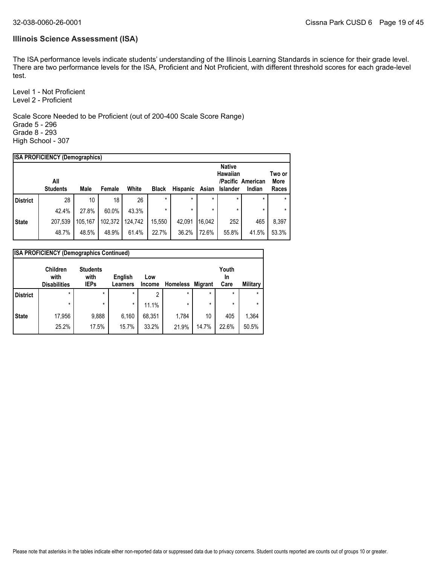#### **Illinois Science Assessment (ISA)**

The ISA performance levels indicate students' understanding of the Illinois Learning Standards in science for their grade level. There are two performance levels for the ISA, Proficient and Not Proficient, with different threshold scores for each grade-level test.

Level 1 - Not Proficient Level 2 - Proficient

Scale Score Needed to be Proficient (out of 200-400 Scale Score Range) Grade 5 - 296 Grade 8 - 293 High School - 307

|                 | <b>ISA PROFICIENCY (Demographics)</b> |         |         |         |              |          |         |               |                   |                |
|-----------------|---------------------------------------|---------|---------|---------|--------------|----------|---------|---------------|-------------------|----------------|
|                 |                                       |         |         |         |              |          |         | <b>Native</b> |                   |                |
|                 | All                                   |         |         |         |              |          |         | Hawaiian      | /Pacific American | Two or<br>More |
|                 | <b>Students</b>                       | Male    | Female  | White   | <b>Black</b> | Hispanic | Asian   | Islander      | Indian            | Races          |
| <b>District</b> | 28                                    | 10      | 18      | 26      | $\star$      | $\star$  | $\star$ | $\star$       | $\star$           | $\star$        |
|                 | 42.4%                                 | 27.8%   | 60.0%   | 43.3%   | $\star$      |          | $\star$ | $\star$       | $\star$           |                |
| <b>State</b>    | 207,539                               | 105.167 | 102,372 | 124,742 | 15,550       | 42,091   | 16.042  | 252           | 465               | 8,397          |
|                 | 48.7%                                 | 48.5%   | 48.9%   | 61.4%   | 22.7%        | 36.2%    | 72.6%   | 55.8%         | 41.5%             | 53.3%          |
|                 |                                       |         |         |         |              |          |         |               |                   |                |

|                 | <b>ISA PROFICIENCY (Demographics Continued)</b> |                                        |                            |               |                 |                |                     |          |  |  |
|-----------------|-------------------------------------------------|----------------------------------------|----------------------------|---------------|-----------------|----------------|---------------------|----------|--|--|
|                 | <b>Children</b><br>with<br><b>Disabilities</b>  | <b>Students</b><br>with<br><b>IEPs</b> | English<br><b>Learners</b> | Low<br>Income | <b>Homeless</b> | <b>Migrant</b> | Youth<br>In<br>Care | Military |  |  |
| <b>District</b> | $\star$                                         | $\star$                                | $\star$                    | 2             | $\star$         | $\star$        | $\star$             | $\star$  |  |  |
|                 | $\star$                                         | $\star$                                | $\star$                    | 11.1%         | $\star$         | $\star$        | $\star$             | $\star$  |  |  |
| <b>State</b>    | 17,956                                          | 9,888                                  | 6,160                      | 68,351        | 1,784           | 10             | 405                 | 1,364    |  |  |
|                 | 25.2%                                           | 17.5%                                  | 15.7%                      | 33.2%         | 21.9%           | 14.7%          | 22.6%               | 50.5%    |  |  |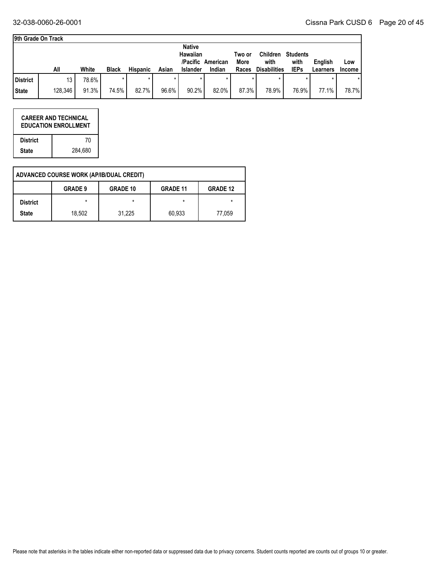٦

| l9th Grade On Track |  |
|---------------------|--|
|---------------------|--|

|         |       |              |                 |       | <b>Native</b>   |          |                            |                 |                 |                     |               |
|---------|-------|--------------|-----------------|-------|-----------------|----------|----------------------------|-----------------|-----------------|---------------------|---------------|
|         |       |              |                 |       | Hawaiian        |          | Two or                     | <b>Children</b> | <b>Students</b> |                     |               |
|         |       |              |                 |       |                 |          | More                       | with            | with            | English             | Low           |
| All     | White | <b>Black</b> | <b>Hispanic</b> | Asian | <b>Islander</b> | Indian   | Races                      |                 | <b>IEPs</b>     | Learners            | <b>Income</b> |
| 13      | 78.6% |              |                 |       |                 |          |                            |                 |                 |                     |               |
| 128,346 | 91.3% | 74.5%        |                 |       |                 | 82.0%    |                            | 78.9%           |                 | 77.1%               | 78.7%         |
|         |       |              |                 |       | 82.7%           | $96.6\%$ | /Pacific American<br>90.2% |                 | 87.3%           | <b>Disabilities</b> | 76.9%         |

|                 | <b>CAREER AND TECHNICAL</b><br><b>EDUCATION ENROLLMENT</b> |
|-----------------|------------------------------------------------------------|
| <b>District</b> | 70                                                         |
| <b>State</b>    | 284.680                                                    |

|                 | ADVANCED COURSE WORK (AP/IB/DUAL CREDIT) |                 |                 |                 |
|-----------------|------------------------------------------|-----------------|-----------------|-----------------|
|                 | <b>GRADE 9</b>                           | <b>GRADE 10</b> | <b>GRADE 11</b> | <b>GRADE 12</b> |
| <b>District</b> | $\star$                                  | *               | $\star$         | *               |
| <b>State</b>    | 18,502                                   | 31,225          | 60,933          | 77,059          |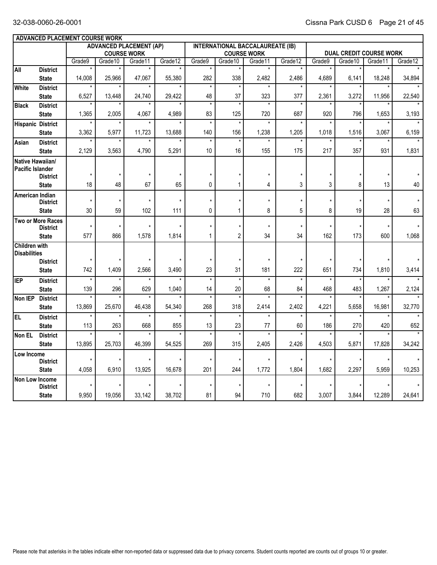|                                      | <b>ADVANCED PLACEMENT COURSE WORK</b> |                   |                  |                                |                    |                   |                   |                                         |                    |                |                                |         |         |
|--------------------------------------|---------------------------------------|-------------------|------------------|--------------------------------|--------------------|-------------------|-------------------|-----------------------------------------|--------------------|----------------|--------------------------------|---------|---------|
|                                      |                                       |                   |                  | <b>ADVANCED PLACEMENT (AP)</b> |                    |                   |                   | <b>INTERNATIONAL BACCALAUREATE (IB)</b> |                    |                |                                |         |         |
|                                      |                                       |                   |                  | <b>COURSE WORK</b>             |                    |                   |                   | <b>COURSE WORK</b>                      |                    |                | <b>DUAL CREDIT COURSE WORK</b> |         |         |
| All                                  | <b>District</b>                       | Grade9<br>$\star$ | Grade10          | Grade11<br>$\star$             | Grade12<br>$\star$ | Grade9<br>$\star$ | Grade10           | Grade11<br>$\star$                      | Grade12<br>$\star$ | Grade9         | Grade10                        | Grade11 | Grade12 |
|                                      | <b>State</b>                          | 14,008            | 25,966           | 47,067                         | 55,380             | 282               | 338               | 2,482                                   | 2,486              | 4,689          | 6,141                          | 18,248  | 34,894  |
| <b>White</b>                         | <b>District</b>                       |                   |                  |                                |                    | $\star$           |                   |                                         |                    |                |                                |         |         |
|                                      | <b>State</b>                          | 6,527             | 13,448           | 24,740                         | 29,422             | 48                | 37                | 323                                     | 377                | 2,361          | 3,272                          | 11,956  | 22,540  |
| <b>Black</b>                         | <b>District</b>                       |                   |                  |                                |                    | $\star$           | $\overline{\ast}$ | $\star$                                 | $\star$            |                |                                |         |         |
|                                      | <b>State</b>                          | 1,365             | 2,005            | 4,067                          | 4,989              | 83                | 125               | 720                                     | 687                | 920            | 796                            | 1,653   | 3,193   |
| <b>Hispanic District</b>             |                                       | $\star$           | $\star$          | $\star$                        |                    | $\star$           | $\star$           | $\star$                                 | $\star$            |                | $\star$                        |         |         |
|                                      | <b>State</b>                          | 3,362             | 5,977            | 11,723                         | 13.688             | 140               | 156               | 1,238                                   | 1,205              | 1,018          | 1,516                          | 3,067   | 6,159   |
| Asian                                | <b>District</b><br><b>State</b>       | 2,129             | $\star$<br>3,563 | $\star$<br>4,790               | 5,291              | $\star$<br>10     | $\star$<br>16     | $\star$<br>155                          | $\star$<br>175     | $\star$<br>217 | $\star$<br>357                 | 931     | 1,831   |
| Native Hawaiian/                     |                                       |                   |                  |                                |                    |                   |                   |                                         |                    |                |                                |         |         |
| Pacific Islander                     |                                       |                   |                  |                                |                    |                   |                   |                                         |                    |                |                                |         |         |
|                                      | <b>District</b>                       | $\star$           | $\star$          |                                |                    |                   | $\star$           | $\star$                                 | $\star$            |                |                                |         |         |
|                                      | <b>State</b>                          | 18                | 48               | 67                             | 65                 | 0                 | 1                 | 4                                       | 3                  | 3              | 8                              | 13      | 40      |
| American Indian                      | <b>District</b>                       | $^\star$          | $\star$          | $\star$                        | $\star$            | $\star$           | $\star$           | $\star$                                 | $\star$            | $\star$        | $\star$                        | $\star$ |         |
|                                      | <b>State</b>                          | 30                | 59               | 102                            | 111                | 0                 | 1                 | 8                                       | 5                  | 8              | 19                             | 28      | 63      |
|                                      | Two or More Races                     |                   |                  |                                |                    |                   |                   |                                         |                    |                |                                |         |         |
|                                      | <b>District</b>                       | $\star$           | $\star$          | $\star$                        |                    | $\star$           | $\star$           | $\star$                                 | $\star$            | $\star$        | $\pmb{\star}$                  | $\star$ |         |
|                                      | <b>State</b>                          | 577               | 866              | 1,578                          | 1,814              | $\mathbf{1}$      | $\overline{2}$    | 34                                      | 34                 | 162            | 173                            | 600     | 1,068   |
| Children with<br><b>Disabilities</b> |                                       |                   |                  |                                |                    |                   |                   |                                         |                    |                |                                |         |         |
|                                      | <b>District</b>                       | $\star$           | $\star$          |                                |                    |                   | $\star$           | $\star$                                 | $\star$            | $\star$        |                                |         |         |
|                                      | <b>State</b>                          | 742               | 1.409            | 2,566                          | 3.490              | 23                | 31                | 181                                     | 222                | 651            | 734                            | 1,810   | 3,414   |
| <b>IEP</b>                           | <b>District</b>                       | $^\star$          | $\star$          | $\star$                        | $\star$            | $\star$           | $\star$           | $\star$                                 | $\star$            | $\star$        | $\star$                        |         |         |
|                                      | <b>State</b>                          | 139               | 296              | 629                            | 1,040              | 14                | 20                | 68                                      | 84                 | 468            | 483                            | 1,267   | 2,124   |
| Non IEP                              | <b>District</b>                       | $\overline{\ast}$ |                  |                                |                    | $\overline{\ast}$ | $\overline{\ast}$ |                                         |                    |                |                                |         |         |
|                                      | <b>State</b>                          | 13,869            | 25.670           | 46,438                         | 54.340             | 268               | 318               | 2,414                                   | 2,402              | 4,221          | 5,658                          | 16.981  | 32,770  |
| EL                                   | <b>District</b>                       | $\star$           | $\star$          | $\star$                        |                    | $\star$           | $\star$           | $\star$                                 | $\star$            | $\star$        |                                |         |         |
|                                      | <b>State</b>                          | 113<br>$\star$    | 263              | 668                            | 855                | 13<br>$\star$     | 23<br>$\star$     | 77<br>$\star$                           | 60                 | 186            | 270                            | 420     | 652     |
| Non EL                               | <b>District</b><br><b>State</b>       | 13,895            | 25,703           | 46.399                         | 54,525             | 269               | 315               | 2,405                                   | 2,426              | 4,503          | 5,871                          | 17,828  | 34,242  |
| Low Income                           |                                       |                   |                  |                                |                    |                   |                   |                                         |                    |                |                                |         |         |
|                                      | <b>District</b>                       | $\star$           | $\star$          | $\star$                        | $\star$            | $\star$           | $\star$           | $\star$                                 | $\star$            |                | $^\star$                       |         |         |
|                                      | <b>State</b>                          | 4,058             | 6,910            | 13,925                         | 16,678             | 201               | 244               | 1,772                                   | 1,804              | 1,682          | 2,297                          | 5,959   | 10,253  |
| Non Low Income                       |                                       |                   |                  |                                |                    |                   | $\star$           |                                         |                    |                |                                |         |         |
|                                      |                                       |                   |                  |                                |                    |                   |                   |                                         |                    |                |                                |         |         |
|                                      | <b>District</b><br><b>State</b>       | 9,950             | 19,056           | 33,142                         | 38,702             | 81                | 94                | 710                                     | 682                | 3,007          | 3,844                          | 12,289  | 24,641  |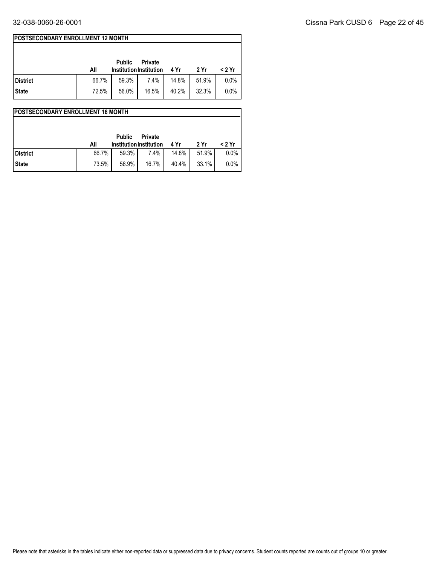## **POSTSECONDARY ENROLLMENT 12 MONTH**

|                 | All   | <b>Public</b><br><b>Institution Institution</b> | <b>Private</b> | 4 Yr  | 2 Yr  | < 2 Yr |
|-----------------|-------|-------------------------------------------------|----------------|-------|-------|--------|
| <b>District</b> | 66.7% | 59.3%                                           | 7.4%           | 14.8% | 51.9% | 0.0%   |
| <b>State</b>    | 72.5% | 56.0%                                           | 16.5%          | 40.2% | 32.3% | 0.0%   |

|                 |       |                                                 |                |          |       | <b>IPOSTSECONDARY ENROLLMENT 16 MONTH</b> |  |  |  |  |  |  |  |  |  |  |  |
|-----------------|-------|-------------------------------------------------|----------------|----------|-------|-------------------------------------------|--|--|--|--|--|--|--|--|--|--|--|
|                 | All   | <b>Public</b><br><b>Institution Institution</b> | <b>Private</b> | 4 Yr     | 2 Yr  | < 2 Yr                                    |  |  |  |  |  |  |  |  |  |  |  |
| <b>District</b> | 66.7% | 59.3%                                           | 7.4%           | 14.8%    | 51.9% | 0.0%                                      |  |  |  |  |  |  |  |  |  |  |  |
| <b>State</b>    | 73.5% | 56.9%                                           | 16.7%          | $40.4\%$ | 33.1% | 0.0%                                      |  |  |  |  |  |  |  |  |  |  |  |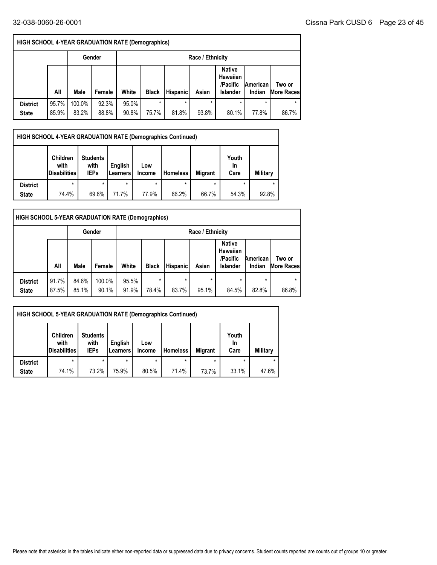ſ

٦

|                                 | <b>HIGH SCHOOL 4-YEAR GRADUATION RATE (Demographics)</b> |                 |                |                                                                                                                                                                           |                  |                  |                  |       |       |                  |  |  |  |  |
|---------------------------------|----------------------------------------------------------|-----------------|----------------|---------------------------------------------------------------------------------------------------------------------------------------------------------------------------|------------------|------------------|------------------|-------|-------|------------------|--|--|--|--|
|                                 |                                                          |                 | Gender         | Race / Ethnicity                                                                                                                                                          |                  |                  |                  |       |       |                  |  |  |  |  |
|                                 | All                                                      | Male            | Female         | <b>Native</b><br><b>Hawaiian</b><br>/Pacific<br>American<br>Two or<br>White<br><b>Black</b><br>Asian<br><b>Hispanic</b><br><b>Islander</b><br>Indian<br><b>More Races</b> |                  |                  |                  |       |       |                  |  |  |  |  |
| <b>District</b><br><b>State</b> | 95.7%<br>85.9%                                           | 100.0%<br>83.2% | 92.3%<br>88.8% | 95.0%<br>90.8%                                                                                                                                                            | $\star$<br>75.7% | $\star$<br>81.8% | $\star$<br>93.8% | 80.1% | 77.8% | $\star$<br>86.7% |  |  |  |  |

|                 | <b>HIGH SCHOOL 4-YEAR GRADUATION RATE (Demographics Continued)</b> |                                        |                     |                      |                 |                |                            |                 |  |  |  |  |
|-----------------|--------------------------------------------------------------------|----------------------------------------|---------------------|----------------------|-----------------|----------------|----------------------------|-----------------|--|--|--|--|
|                 | <b>Children</b><br>with<br><b>Disabilities</b>                     | <b>Students</b><br>with<br><b>IEPs</b> | English<br>Learners | Low<br><b>Income</b> | <b>Homeless</b> | <b>Migrant</b> | Youth<br><b>In</b><br>Care | <b>Military</b> |  |  |  |  |
| <b>District</b> | $\star$                                                            | $\star$                                | $\star$             |                      | *               | $\star$        | $\star$                    | $\star$         |  |  |  |  |
| <b>State</b>    | 74.4%                                                              | 69.6%                                  | 71.7%               | 77.9%                | 66.2%           | 66.7%          | 54.3%                      | 92.8%           |  |  |  |  |

| <b>HIGH SCHOOL 5-YEAR GRADUATION RATE (Demographics)</b> |                |                |                 |                                                                                                                                                      |                  |            |                  |       |                  |            |  |  |
|----------------------------------------------------------|----------------|----------------|-----------------|------------------------------------------------------------------------------------------------------------------------------------------------------|------------------|------------|------------------|-------|------------------|------------|--|--|
|                                                          |                |                | Gender          |                                                                                                                                                      | Race / Ethnicity |            |                  |       |                  |            |  |  |
|                                                          | All            | Male           | Female          | <b>Native</b><br>Hawaiian<br>/Pacific<br>American<br>Two or<br>White<br>Hispanic<br>Asian<br><b>Black</b><br>Indian<br>Islander<br><b>More Races</b> |                  |            |                  |       |                  |            |  |  |
| <b>District</b><br><b>State</b>                          | 91.7%<br>87.5% | 84.6%<br>85.1% | 100.0%<br>90.1% | 95.5%<br>91.9%                                                                                                                                       | *<br>78.4%       | *<br>83.7% | $\star$<br>95.1% | 84.5% | $\star$<br>82.8% | *<br>86.8% |  |  |

|                 | <b>HIGH SCHOOL 5-YEAR GRADUATION RATE (Demographics Continued)</b>                                                                                                                                                     |       |       |       |       |       |       |       |  |  |  |
|-----------------|------------------------------------------------------------------------------------------------------------------------------------------------------------------------------------------------------------------------|-------|-------|-------|-------|-------|-------|-------|--|--|--|
|                 | Youth<br><b>Children</b><br><b>Students</b><br>with<br>English<br>with<br>Low<br>In<br><b>Disabilities</b><br><b>Migrant</b><br><b>Military</b><br><b>IEPs</b><br><b>Homeless</b><br>Care<br>Learners<br><b>Income</b> |       |       |       |       |       |       |       |  |  |  |
| <b>District</b> | $\star$<br>$\star$<br>$\star$<br>$\star$<br>$\star$                                                                                                                                                                    |       |       |       |       |       |       |       |  |  |  |
| <b>State</b>    | 74.1%                                                                                                                                                                                                                  | 73.2% | 75.9% | 80.5% | 71.4% | 73.7% | 33.1% | 47.6% |  |  |  |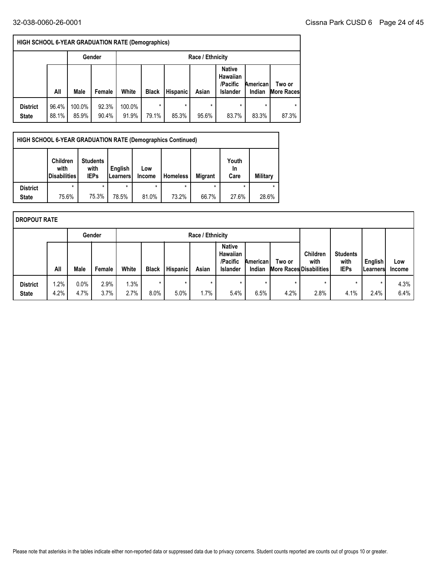|                                 | <b>HIGH SCHOOL 6-YEAR GRADUATION RATE (Demographics)</b> |                 |                |                                                                                                                                                                    |            |                  |                  |       |                  |       |  |  |  |
|---------------------------------|----------------------------------------------------------|-----------------|----------------|--------------------------------------------------------------------------------------------------------------------------------------------------------------------|------------|------------------|------------------|-------|------------------|-------|--|--|--|
|                                 |                                                          |                 | Gender         | Race / Ethnicity                                                                                                                                                   |            |                  |                  |       |                  |       |  |  |  |
|                                 | All                                                      | Male            | Female         | <b>Native</b><br>Hawaiian<br>/Pacific<br>American<br>Two or<br>White<br>Asian<br><b>Black</b><br><b>Hispanic</b><br><b>More Races</b><br><b>Islander</b><br>Indian |            |                  |                  |       |                  |       |  |  |  |
| <b>District</b><br><b>State</b> | 96.4%<br>88.1%                                           | 100.0%<br>85.9% | 92.3%<br>90.4% | 100.0%<br>91.9%                                                                                                                                                    | *<br>79.1% | $\star$<br>85.3% | $\star$<br>95.6% | 83.7% | $\star$<br>83.3% | 87.3% |  |  |  |

|                 | <b>HIGH SCHOOL 6-YEAR GRADUATION RATE (Demographics Continued)</b> |                                        |                         |                      |                 |                |                     |          |
|-----------------|--------------------------------------------------------------------|----------------------------------------|-------------------------|----------------------|-----------------|----------------|---------------------|----------|
|                 | <b>Children</b><br>with<br><b>Disabilities</b>                     | <b>Students</b><br>with<br><b>IEPs</b> | English<br>l Learners l | Low<br><b>Income</b> | <b>Homeless</b> | <b>Migrant</b> | Youth<br>In<br>Care | Military |
| <b>District</b> |                                                                    | $\star$                                |                         |                      |                 | $\star$        |                     |          |
| <b>State</b>    | 75.6%                                                              | 75.3%                                  | 78.5%                   | 81.0%                | 73.2%           | 66.7%          | 27.6%               | 28.6%    |

| I DROPOUT RATE                  |                 |              |              |              |                 |                 |                  |                                                                 |                           |                 |                                                           |                                        |                             |               |
|---------------------------------|-----------------|--------------|--------------|--------------|-----------------|-----------------|------------------|-----------------------------------------------------------------|---------------------------|-----------------|-----------------------------------------------------------|----------------------------------------|-----------------------------|---------------|
|                                 |                 |              | Gender       |              |                 |                 | Race / Ethnicity |                                                                 |                           |                 |                                                           |                                        |                             |               |
|                                 | All             | Male         | Female       | White        | <b>Black</b>    | <b>Hispanic</b> | Asian            | <b>Native</b><br><b>Hawaiian</b><br>/Pacific<br><b>Islander</b> | <b>American</b><br>Indian | Two or          | <b>Children</b><br>with<br><b>More Races Disabilities</b> | <b>Students</b><br>with<br><b>IEPs</b> | English<br><b>ILearners</b> | Low<br>Income |
| <b>District</b><br><b>State</b> | $1.2\%$<br>4.2% | 0.0%<br>4.7% | 2.9%<br>3.7% | 1.3%<br>2.7% | $\star$<br>8.0% | $\star$<br>5.0% | $\star$<br>1.7%  | $\star$<br>5.4%                                                 | $\star$<br>6.5%           | $\star$<br>4.2% | $\star$<br>2.8%                                           | $\star$<br>4.1%                        | $\star$<br>2.4%             | 4.3%<br>6.4%  |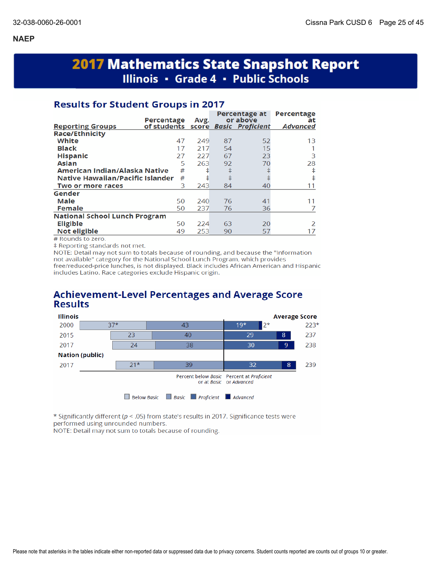# **2017 Mathematics State Snapshot Report** Illinois • Grade 4 • Public Schools

## **Results for Student Groups in 2017**

|                                      | Percentage                         |      |            | Percentage at<br>or above | Percentage            |
|--------------------------------------|------------------------------------|------|------------|---------------------------|-----------------------|
| <b>Reporting Groups</b>              | of students score Basic Proficient | Avg. |            |                           | at<br><b>Advanced</b> |
| <b>Race/Ethnicity</b>                |                                    |      |            |                           |                       |
| White                                | 47                                 | 249  | 87         | 52                        | 13                    |
| <b>Black</b>                         | 17                                 | 217  | 54         | 15                        |                       |
| <b>Hispanic</b>                      | 27                                 | 227  | 67         | 23                        | 3                     |
| <b>Asian</b>                         | 5                                  | 263  | 92         | 70                        | 28                    |
| American Indian/Alaska Native        | #                                  | ŧ    | ŧ          |                           | ŧ                     |
| Native Hawaiian/Pacific Islander     | #                                  | ŧ    | $\ddagger$ |                           | ŧ                     |
| Two or more races                    | З                                  | 243  | 84         | 40                        | 11                    |
| Gender                               |                                    |      |            |                           |                       |
| Male                                 | 50                                 | 240  | 76         | 41                        | 11                    |
| <b>Female</b>                        | 50                                 | 237  | 76         | 36                        |                       |
| <b>National School Lunch Program</b> |                                    |      |            |                           |                       |
| <b>Eligible</b>                      | 50                                 | 224  | 63         | 20                        | $\mathcal{P}$         |
| Not eligible                         | 49                                 | 253  | 90         | 57                        | 17                    |

# Rounds to zero.

‡ Reporting standards not met.

NOTE: Detail may not sum to totals because of rounding, and because the "Information" not available" category for the National School Lunch Program, which provides free/reduced-price lunches, is not displayed. Black includes African American and Hispanic includes Latino. Race categories exclude Hispanic origin.

## **Achievement-Level Percentages and Average Score Results**



\* Significantly different (p < .05) from state's results in 2017. Significance tests were performed using unrounded numbers.

NOTE: Detail may not sum to totals because of rounding.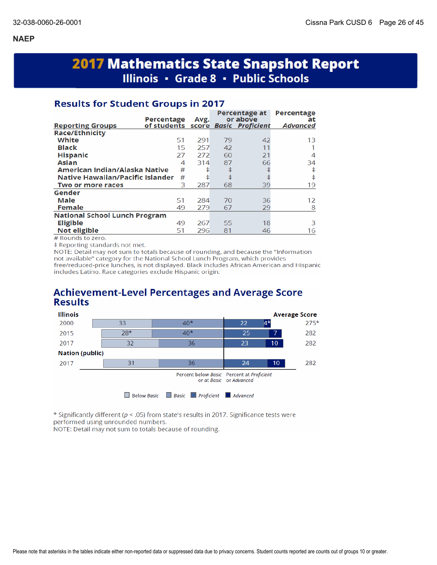# **2017 Mathematics State Snapshot Report** Illinois · Grade 8 · Public Schools

## **Results for Student Groups in 2017**

| of students score Basic Proficient<br><b>Advanced</b><br><b>Reporting Groups</b><br><b>Race/Ethnicity</b><br>White<br>42<br>51<br>291<br>79<br>13<br><b>Black</b><br>15<br>257<br>42<br>11<br><b>Hispanic</b><br>21<br>27<br>272<br>60<br>4<br>66<br><b>Asian</b><br>314<br>87<br>4<br>34<br>ŧ<br>American Indian/Alaska Native<br>#<br>ŧ<br>ŧ<br>ŧ<br>ŧ<br>Native Hawaiian/Pacific Islander<br>#<br>ŧ<br>3<br>287<br>68<br>39<br>19<br>Two or more races<br>Gender<br>Male<br>51<br>284<br>36<br>70<br>12<br><b>Female</b><br>29<br>49<br>279<br>67<br>8<br><b>National School Lunch Program</b><br><b>Eligible</b><br>18<br>49<br>267<br>55<br>З<br>Not eligible<br>296<br>81<br>51<br>16<br>46 | Percentage | Avg. | Percentage at<br>or above | Percentage<br>at |
|---------------------------------------------------------------------------------------------------------------------------------------------------------------------------------------------------------------------------------------------------------------------------------------------------------------------------------------------------------------------------------------------------------------------------------------------------------------------------------------------------------------------------------------------------------------------------------------------------------------------------------------------------------------------------------------------------|------------|------|---------------------------|------------------|
|                                                                                                                                                                                                                                                                                                                                                                                                                                                                                                                                                                                                                                                                                                   |            |      |                           |                  |
|                                                                                                                                                                                                                                                                                                                                                                                                                                                                                                                                                                                                                                                                                                   |            |      |                           |                  |
|                                                                                                                                                                                                                                                                                                                                                                                                                                                                                                                                                                                                                                                                                                   |            |      |                           |                  |
|                                                                                                                                                                                                                                                                                                                                                                                                                                                                                                                                                                                                                                                                                                   |            |      |                           |                  |
|                                                                                                                                                                                                                                                                                                                                                                                                                                                                                                                                                                                                                                                                                                   |            |      |                           |                  |
|                                                                                                                                                                                                                                                                                                                                                                                                                                                                                                                                                                                                                                                                                                   |            |      |                           |                  |
|                                                                                                                                                                                                                                                                                                                                                                                                                                                                                                                                                                                                                                                                                                   |            |      |                           |                  |
|                                                                                                                                                                                                                                                                                                                                                                                                                                                                                                                                                                                                                                                                                                   |            |      |                           |                  |
|                                                                                                                                                                                                                                                                                                                                                                                                                                                                                                                                                                                                                                                                                                   |            |      |                           |                  |
|                                                                                                                                                                                                                                                                                                                                                                                                                                                                                                                                                                                                                                                                                                   |            |      |                           |                  |
|                                                                                                                                                                                                                                                                                                                                                                                                                                                                                                                                                                                                                                                                                                   |            |      |                           |                  |
|                                                                                                                                                                                                                                                                                                                                                                                                                                                                                                                                                                                                                                                                                                   |            |      |                           |                  |
|                                                                                                                                                                                                                                                                                                                                                                                                                                                                                                                                                                                                                                                                                                   |            |      |                           |                  |
|                                                                                                                                                                                                                                                                                                                                                                                                                                                                                                                                                                                                                                                                                                   |            |      |                           |                  |
|                                                                                                                                                                                                                                                                                                                                                                                                                                                                                                                                                                                                                                                                                                   |            |      |                           |                  |

# Rounds to zero.

# Reporting standards not met.

NOTE: Detail may not sum to totals because of rounding, and because the "Information not available" category for the National School Lunch Program, which provides free/reduced-price lunches, is not displayed. Black includes African American and Hispanic includes Latino. Race categories exclude Hispanic origin.

## **Achievement-Level Percentages and Average Score Results**



\* Significantly different ( $p < .05$ ) from state's results in 2017. Significance tests were performed using unrounded numbers.

NOTE: Detail may not sum to totals because of rounding.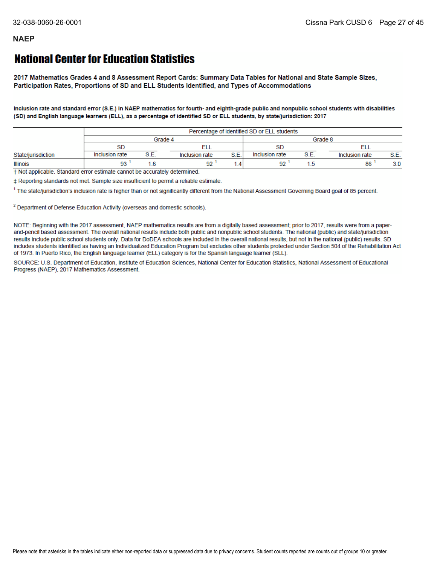## **National Center for Education Statistics**

2017 Mathematics Grades 4 and 8 Assessment Report Cards: Summary Data Tables for National and State Sample Sizes, Participation Rates, Proportions of SD and ELL Students Identified, and Types of Accommodations

Inclusion rate and standard error (S.E.) in NAEP mathematics for fourth- and eighth-grade public and nonpublic school students with disabilities (SD) and English language learners (ELL), as a percentage of identified SD or ELL students, by state/jurisdiction: 2017

|                    |                | Percentage of identified SD or ELL students |                |     |                |                |                |      |  |  |
|--------------------|----------------|---------------------------------------------|----------------|-----|----------------|----------------|----------------|------|--|--|
|                    | Grade 4        |                                             |                |     | Grade 8        |                |                |      |  |  |
|                    | <b>SD</b>      |                                             |                |     | <b>SD</b>      |                |                |      |  |  |
| State/jurisdiction | Inclusion rate | $\mathbf{e}$ $\mathbf{r}$                   | Inclusion rate | S.E | Inclusion rate | $\mathbf{e}$ . | Inclusion rate | S.E. |  |  |
| <b>Illinois</b>    | 93             |                                             | 92             |     | 92             |                | 86             | 3.0  |  |  |

+ Not applicable. Standard error estimate cannot be accurately determined.

‡ Reporting standards not met. Sample size insufficient to permit a reliable estimate.

<sup>1</sup> The state/jurisdiction's inclusion rate is higher than or not significantly different from the National Assessment Governing Board goal of 85 percent.

<sup>2</sup> Department of Defense Education Activity (overseas and domestic schools).

NOTE: Beginning with the 2017 assessment, NAEP mathematics results are from a digitally based assessment; prior to 2017, results were from a paperand-pencil based assessment. The overall national results include both public and nonpublic school students. The national (public) and state/jurisdiction results include public school students only. Data for DoDEA schools are included in the overall national results, but not in the national (public) results. SD includes students identified as having an Individualized Education Program but excludes other students protected under Section 504 of the Rehabilitation Act of 1973. In Puerto Rico, the English language learner (ELL) category is for the Spanish language learner (SLL).

SOURCE: U.S. Department of Education, Institute of Education Sciences, National Center for Education Statistics, National Assessment of Educational Progress (NAEP), 2017 Mathematics Assessment.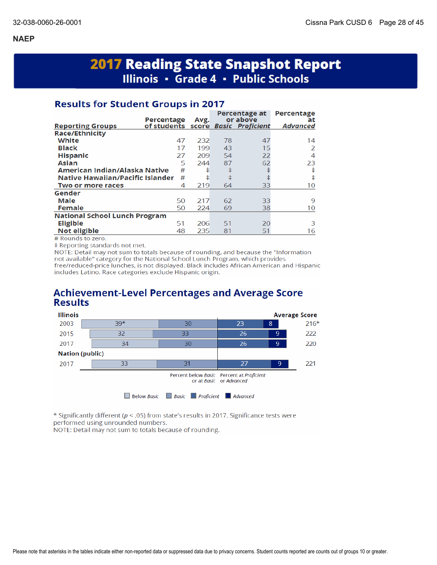# **2017 Reading State Snapshot Report** Illinois · Grade 4 · Public Schools

## **Results for Student Groups in 2017**

|                                      | Percentage                         | Avg. |    | Percentage at<br>or above | Percentage<br>at |
|--------------------------------------|------------------------------------|------|----|---------------------------|------------------|
| <b>Reporting Groups</b>              | of students score Basic Proficient |      |    |                           | <b>Advanced</b>  |
| <b>Race/Ethnicity</b>                |                                    |      |    |                           |                  |
| White                                | 47                                 | 232  | 78 | 47                        | 14               |
| <b>Black</b>                         | 17                                 | 199  | 43 | 15                        | 2                |
| <b>Hispanic</b>                      | 27                                 | 209  | 54 | 22                        | 4                |
| <b>Asian</b>                         | 5                                  | 244  | 87 | 62                        | 23               |
| American Indian/Alaska Native        | #                                  | ŧ    | ŧ  |                           | ŧ                |
| Native Hawaiian/Pacific Islander     | #                                  | ŧ    | ŧ  |                           | ŧ                |
| Two or more races                    | 4                                  | 219  | 64 | 33                        | 10               |
| Gender                               |                                    |      |    |                           |                  |
| Male                                 | 50                                 | 217  | 62 | 33                        | 9                |
| <b>Female</b>                        | 50                                 | 224  | 69 | 38                        | 10               |
| <b>National School Lunch Program</b> |                                    |      |    |                           |                  |
| <b>Eligible</b>                      | 51                                 | 206  | 51 | 20                        | 3                |
| Not eligible                         | 48                                 | 235  | 81 | 51                        | 16               |

# Rounds to zero.

‡ Reporting standards not met.

NOTE: Detail may not sum to totals because of rounding, and because the "Information not available" category for the National School Lunch Program, which provides free/reduced-price lunches, is not displayed. Black includes African American and Hispanic includes Latino. Race categories exclude Hispanic origin.

## **Achievement-Level Percentages and Average Score Results**



\* Significantly different ( $p < .05$ ) from state's results in 2017. Significance tests were performed using unrounded numbers.

NOTE: Detail may not sum to totals because of rounding.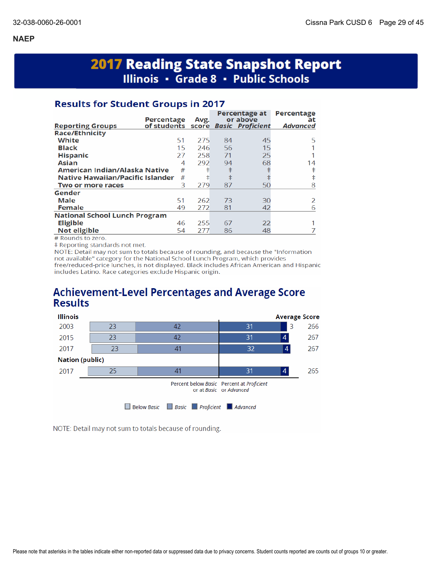# **2017 Reading State Snapshot Report** Illinois • Grade 8 • Public Schools

## **Results for Student Groups in 2017**

| of students<br><b>Advanced</b><br>score Basic Proficient<br><b>Reporting Groups</b><br><b>Race/Ethnicity</b><br>White<br>51<br>275<br>45<br>84<br>5<br><b>Black</b><br>15<br>56<br>15<br>246<br><b>Hispanic</b><br>258<br>71<br>25<br>27<br>292<br>68<br><b>Asian</b><br>94<br>14<br>4<br>ŧ<br>ŧ<br>American Indian/Alaska Native<br>#<br>ŧ<br>ŧ<br><b>Native Hawaiian/Pacific Islander</b><br>ŧ<br>ŧ<br>#<br>3<br>279<br>87<br>50<br>8<br>Two or more races<br>Gender<br>51<br>Male<br>73<br>262<br>30<br>2<br><b>Female</b><br>42<br>49<br>272<br>81<br>6<br><b>National School Lunch Program</b><br><b>Eligible</b><br>22<br>255<br>46<br>67<br>Not eligible<br>48<br>277<br>86<br>54 | Percentage | Avg. | Percentage at<br>or above | Percentage<br>at |
|------------------------------------------------------------------------------------------------------------------------------------------------------------------------------------------------------------------------------------------------------------------------------------------------------------------------------------------------------------------------------------------------------------------------------------------------------------------------------------------------------------------------------------------------------------------------------------------------------------------------------------------------------------------------------------------|------------|------|---------------------------|------------------|
|                                                                                                                                                                                                                                                                                                                                                                                                                                                                                                                                                                                                                                                                                          |            |      |                           |                  |
|                                                                                                                                                                                                                                                                                                                                                                                                                                                                                                                                                                                                                                                                                          |            |      |                           |                  |
|                                                                                                                                                                                                                                                                                                                                                                                                                                                                                                                                                                                                                                                                                          |            |      |                           |                  |
|                                                                                                                                                                                                                                                                                                                                                                                                                                                                                                                                                                                                                                                                                          |            |      |                           |                  |
|                                                                                                                                                                                                                                                                                                                                                                                                                                                                                                                                                                                                                                                                                          |            |      |                           |                  |
|                                                                                                                                                                                                                                                                                                                                                                                                                                                                                                                                                                                                                                                                                          |            |      |                           |                  |
|                                                                                                                                                                                                                                                                                                                                                                                                                                                                                                                                                                                                                                                                                          |            |      |                           |                  |
|                                                                                                                                                                                                                                                                                                                                                                                                                                                                                                                                                                                                                                                                                          |            |      |                           |                  |
|                                                                                                                                                                                                                                                                                                                                                                                                                                                                                                                                                                                                                                                                                          |            |      |                           |                  |
|                                                                                                                                                                                                                                                                                                                                                                                                                                                                                                                                                                                                                                                                                          |            |      |                           |                  |
|                                                                                                                                                                                                                                                                                                                                                                                                                                                                                                                                                                                                                                                                                          |            |      |                           |                  |
|                                                                                                                                                                                                                                                                                                                                                                                                                                                                                                                                                                                                                                                                                          |            |      |                           |                  |
|                                                                                                                                                                                                                                                                                                                                                                                                                                                                                                                                                                                                                                                                                          |            |      |                           |                  |
|                                                                                                                                                                                                                                                                                                                                                                                                                                                                                                                                                                                                                                                                                          |            |      |                           |                  |
|                                                                                                                                                                                                                                                                                                                                                                                                                                                                                                                                                                                                                                                                                          |            |      |                           |                  |

# Rounds to zero.

‡ Reporting standards not met.

NOTE: Detail may not sum to totals because of rounding, and because the "Information not available" category for the National School Lunch Program, which provides free/reduced-price lunches, is not displayed. Black includes African American and Hispanic includes Latino. Race categories exclude Hispanic origin.

## **Achievement-Level Percentages and Average Score Results**



NOTE: Detail may not sum to totals because of rounding.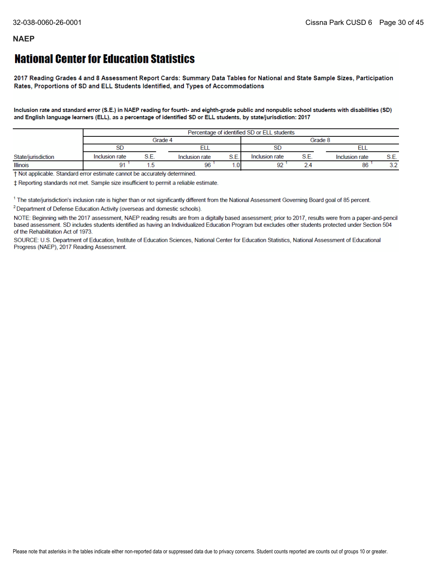## **National Center for Education Statistics**

2017 Reading Grades 4 and 8 Assessment Report Cards: Summary Data Tables for National and State Sample Sizes, Participation Rates, Proportions of SD and ELL Students Identified, and Types of Accommodations

Inclusion rate and standard error (S.E.) in NAEP reading for fourth- and eighth-grade public and nonpublic school students with disabilities (SD) and English language learners (ELL), as a percentage of identified SD or ELL students, by state/jurisdiction: 2017

|                    |                |  |                |                 |                | Percentage of identified SD or ELL students |                |           |  |  |
|--------------------|----------------|--|----------------|-----------------|----------------|---------------------------------------------|----------------|-----------|--|--|
|                    |                |  | Grade 4        |                 | Grade 8        |                                             |                |           |  |  |
|                    | SD             |  |                |                 |                |                                             |                |           |  |  |
| State/jurisdiction | Inclusion rate |  | Inclusion rate | S.E.            | Inclusion rate | S.E.                                        | Inclusion rate | S.E.      |  |  |
| <b>Illinois</b>    |                |  | 96             | .0 <sub>1</sub> | $\sim$         |                                             | 86             | າາ<br>J.Z |  |  |

† Not applicable. Standard error estimate cannot be accurately determined.

± Reporting standards not met. Sample size insufficient to permit a reliable estimate.

<sup>1</sup> The state/jurisdiction's inclusion rate is higher than or not significantly different from the National Assessment Governing Board goal of 85 percent.

<sup>2</sup> Department of Defense Education Activity (overseas and domestic schools).

NOTE: Beginning with the 2017 assessment, NAEP reading results are from a digitally based assessment; prior to 2017, results were from a paper-and-pencil based assessment. SD includes students identified as having an Individualized Education Program but excludes other students protected under Section 504 of the Rehabilitation Act of 1973.

SOURCE: U.S. Department of Education, Institute of Education Sciences, National Center for Education Statistics, National Assessment of Educational Progress (NAEP), 2017 Reading Assessment.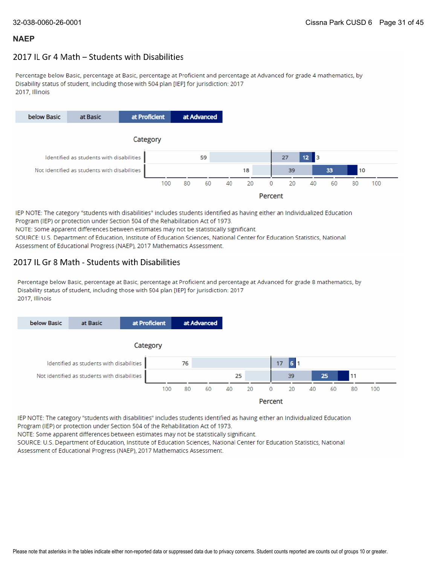## 2017 IL Gr 4 Math - Students with Disabilities

Percentage below Basic, percentage at Basic, percentage at Proficient and percentage at Advanced for grade 4 mathematics, by Disability status of student, including those with 504 plan [IEP] for jurisdiction: 2017 2017. Illinois



IEP NOTE: The category "students with disabilities" includes students identified as having either an Individualized Education Program (IEP) or protection under Section 504 of the Rehabilitation Act of 1973. NOTE: Some apparent differences between estimates may not be statistically significant.

SOURCE: U.S. Department of Education, Institute of Education Sciences, National Center for Education Statistics, National Assessment of Educational Progress (NAEP), 2017 Mathematics Assessment.

#### 2017 IL Gr 8 Math - Students with Disabilities

Percentage below Basic, percentage at Basic, percentage at Proficient and percentage at Advanced for grade 8 mathematics, by Disability status of student, including those with 504 plan [IEP] for jurisdiction: 2017 2017, Illinois



IEP NOTE: The category "students with disabilities" includes students identified as having either an Individualized Education Program (IEP) or protection under Section 504 of the Rehabilitation Act of 1973.

NOTE: Some apparent differences between estimates may not be statistically significant.

SOURCE: U.S. Department of Education, Institute of Education Sciences, National Center for Education Statistics, National Assessment of Educational Progress (NAEP), 2017 Mathematics Assessment.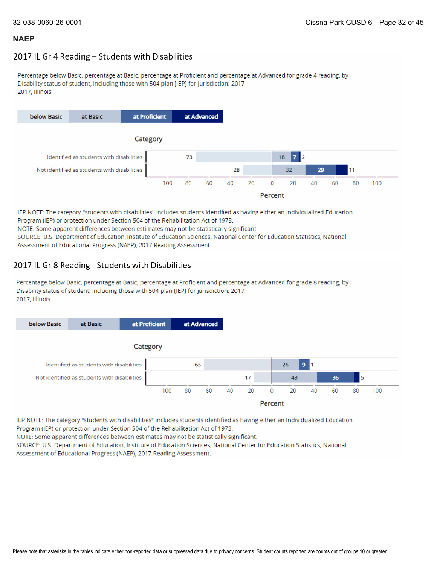## 2017 IL Gr 4 Reading - Students with Disabilities

Percentage below Basic, percentage at Basic, percentage at Proficient and percentage at Advanced for grade 4 reading, by Disability status of student, including those with 504 plan [IEP] for jurisdiction: 2017 2017, Illinois



IEP NOTE: The category "students with disabilities" includes students identified as having either an Individualized Education Program (IEP) or protection under Section 504 of the Rehabilitation Act of 1973. NOTE: Some apparent differences between estimates may not be statistically significant. SOURCE: U.S. Department of Education, Institute of Education Sciences, National Center for Education Statistics, National Assessment of Educational Progress (NAEP), 2017 Reading Assessment.

## 2017 IL Gr 8 Reading - Students with Disabilities

Percentage below Basic, percentage at Basic, percentage at Proficient and percentage at Advanced for grade 8 reading, by Disability status of student, including those with 504 plan [IEP] for jurisdiction: 2017 2017, Illinois



IEP NOTE: The category "students with disabilities" includes students identified as having either an Individualized Education Program (IEP) or protection under Section 504 of the Rehabilitation Act of 1973.

NOTE: Some apparent differences between estimates may not be statistically significant.

SOURCE: U.S. Department of Education, Institute of Education Sciences, National Center for Education Statistics, National Assessment of Educational Progress (NAEP), 2017 Reading Assessment.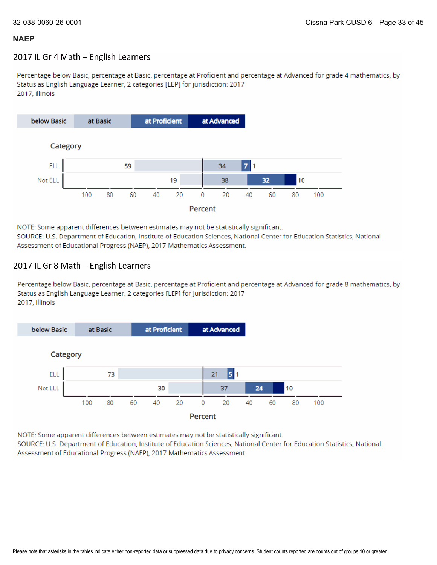#### 2017 IL Gr 4 Math - English Learners

Percentage below Basic, percentage at Basic, percentage at Proficient and percentage at Advanced for grade 4 mathematics, by Status as English Language Learner, 2 categories [LEP] for jurisdiction: 2017 2017, Illinois



NOTE: Some apparent differences between estimates may not be statistically significant. SOURCE: U.S. Department of Education, Institute of Education Sciences, National Center for Education Statistics, National Assessment of Educational Progress (NAEP), 2017 Mathematics Assessment.

#### 2017 IL Gr 8 Math - English Learners

Percentage below Basic, percentage at Basic, percentage at Proficient and percentage at Advanced for grade 8 mathematics, by Status as English Language Learner, 2 categories [LEP] for jurisdiction: 2017 2017, Illinois



NOTE: Some apparent differences between estimates may not be statistically significant.

SOURCE: U.S. Department of Education, Institute of Education Sciences, National Center for Education Statistics, National Assessment of Educational Progress (NAEP), 2017 Mathematics Assessment.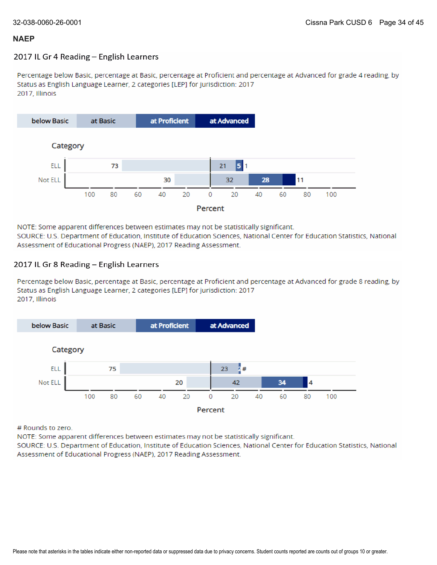#### 2017 IL Gr 4 Reading - English Learners

Percentage below Basic, percentage at Basic, percentage at Proficient and percentage at Advanced for grade 4 reading, by Status as English Language Learner, 2 categories [LEP] for jurisdiction: 2017 2017, Illinois



NOTE: Some apparent differences between estimates may not be statistically significant. SOURCE: U.S. Department of Education, Institute of Education Sciences, National Center for Education Statistics, National Assessment of Educational Progress (NAEP), 2017 Reading Assessment.

#### 2017 IL Gr 8 Reading - English Learners

Percentage below Basic, percentage at Basic, percentage at Proficient and percentage at Advanced for grade 8 reading, by Status as English Language Learner, 2 categories [LEP] for jurisdiction: 2017 2017, Illinois



# Rounds to zero.

NOTE: Some apparent differences between estimates may not be statistically significant.

SOURCE: U.S. Department of Education, Institute of Education Sciences, National Center for Education Statistics, National Assessment of Educational Progress (NAEP), 2017 Reading Assessment.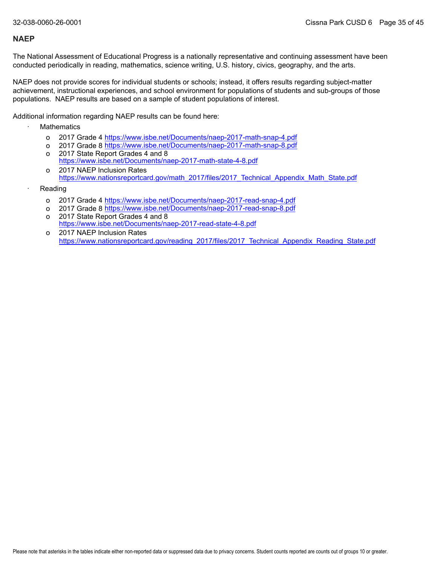The National Assessment of Educational Progress is a nationally representative and continuing assessment have been conducted periodically in reading, mathematics, science writing, U.S. history, civics, geography, and the arts.

NAEP does not provide scores for individual students or schools; instead, it offers results regarding subject-matter achievement, instructional experiences, and school environment for populations of students and sub-groups of those populations. NAEP results are based on a sample of student populations of interest.

Additional information regarding NAEP results can be found here:

- **Mathematics** 
	- o 2017 Grade 4 <u><https://www.isbe.net/Documents/naep-2017-math-snap-4.pdf></u>
	- o 2017 Grade 8 <u><https://www.isbe.net/Documents/naep-2017-math-snap-8.pdf></u>
	- o 2017 State Report Grades 4 and 8 <https://www.isbe.net/Documents/naep-2017-math-state-4-8.pdf>
	- o 2017 NAEP Inclusion Rates [https://www.nationsreportcard.gov/math\\_2017/files/2017\\_Technical\\_Appendix\\_Math\\_State.pdf](https://www.nationsreportcard.gov/math_2017/files/2017_Technical_Appendix_Math_State.pdf)
- **Reading** 
	- o 2017 Grade 4 <u><https://www.isbe.net/Documents/naep-2017-read-snap-4.pdf></u>
	- o 2017 Grade 8 <u><https://www.isbe.net/Documents/naep-2017-read-snap-8.pdf></u>
	- o 2017 State Report Grades 4 and 8 <https://www.isbe.net/Documents/naep-2017-read-state-4-8.pdf>
	- o 2017 NAEP Inclusion Rates [https://www.nationsreportcard.gov/reading\\_2017/files/2017\\_Technical\\_Appendix\\_Reading\\_State.pdf](https://www.nationsreportcard.gov/reading_2017/files/2017_Technical_Appendix_Reading_State.pdf)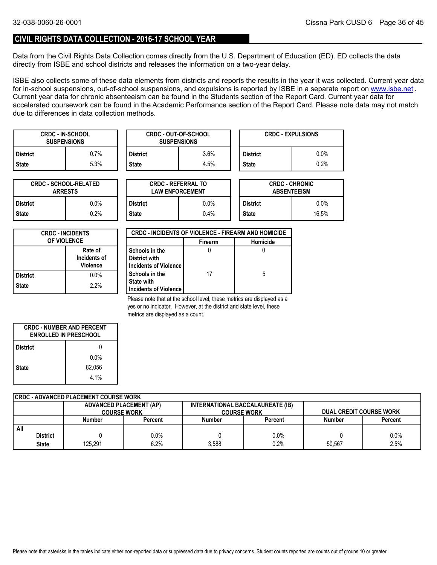#### **CIVIL RIGHTS DATA COLLECTION - 2016-17 SCHOOL YEAR**

Data from the Civil Rights Data Collection comes directly from the U.S. Department of Education (ED). ED collects the data directly from ISBE and school districts and releases the information on a two-year delay.

ISBE also collects some of these data elements from districts and reports the results in the year it was collected. Current year data forin-school suspensions, out-of-school suspensions, and expulsions is reported by ISBE in a separate report on <u>www.isbe.net</u> . Current year data for chronic absenteeism can be found in the Students section of the Report Card. Current year data for accelerated coursework can be found in the Academic Performance section of the Report Card. Please note data may not match due to differences in data collection methods.

| <b>CRDC - IN-SCHOOL</b><br><b>SUSPENSIONS</b> |      |                 | <b>CRDC - OUT-OF-SCHOOL</b><br><b>SUSPENSIONS</b> |                 | <b>CRDC - EXPULSIONS</b> |
|-----------------------------------------------|------|-----------------|---------------------------------------------------|-----------------|--------------------------|
| <b>District</b>                               | 0.7% | <b>District</b> | 3.6%                                              | <b>District</b> | $0.0\%$                  |
| <b>State</b>                                  | 5.3% | State           | 4.5%                                              | <b>State</b>    | 0.2%                     |

| <b>CRDC - SCHOOL-RELATED</b><br><b>ARRESTS</b> |         |  |  |  |  |  |
|------------------------------------------------|---------|--|--|--|--|--|
| <b>District</b>                                | $0.0\%$ |  |  |  |  |  |
| 0.2%<br><b>State</b>                           |         |  |  |  |  |  |

| TED     |                 | <b>CRDC - REFERRAL TO</b><br><b>LAW ENFORCEMENT</b> | <b>CRDC - CHRONIC</b><br><b>ABSENTEEISM</b> |         |  |
|---------|-----------------|-----------------------------------------------------|---------------------------------------------|---------|--|
| 0.0%    | <b>District</b> | 0.0%                                                |                                             | $0.0\%$ |  |
| $0.2\%$ | <b>State</b>    | 0.4%                                                | <b>State</b>                                | 16.5%   |  |

| <b>CRDC - INCIDENTS</b><br><b>OF VIOLENCE</b> |         |  |  |  |
|-----------------------------------------------|---------|--|--|--|
| Rate of<br>Incidents of<br><b>Violence</b>    |         |  |  |  |
| <b>District</b>                               | $0.0\%$ |  |  |  |
| <b>State</b>                                  | 2.2%    |  |  |  |

| <b>CRDC - INCIDENTS OF VIOLENCE - FIREARM AND HOMICIDE</b> |                |          |  |  |  |  |  |
|------------------------------------------------------------|----------------|----------|--|--|--|--|--|
|                                                            | <b>Firearm</b> | Homicide |  |  |  |  |  |
| Schools in the<br>District with                            |                |          |  |  |  |  |  |
| Incidents of Violence                                      |                |          |  |  |  |  |  |
| Schools in the<br><b>State with</b>                        | 17             | 5        |  |  |  |  |  |
| Incidents of Violence                                      |                |          |  |  |  |  |  |

Please note that at the school level, these metrics are displayed as a yes or no indicator. However, at the district and state level, these metrics are displayed as a count.

| <b>CRDC - NUMBER AND PERCENT</b><br><b>ENROLLED IN PRESCHOOL</b> |         |  |  |  |
|------------------------------------------------------------------|---------|--|--|--|
| <b>District</b>                                                  | N       |  |  |  |
|                                                                  | $0.0\%$ |  |  |  |
| <b>State</b>                                                     | 82.056  |  |  |  |
|                                                                  | 4.1%    |  |  |  |

| CRDC - ADVANCED PLACEMENT COURSE WORK |                 |                                |         |                                  |         |                                |         |  |
|---------------------------------------|-----------------|--------------------------------|---------|----------------------------------|---------|--------------------------------|---------|--|
|                                       |                 | <b>ADVANCED PLACEMENT (AP)</b> |         | INTERNATIONAL BACCALAUREATE (IB) |         |                                |         |  |
|                                       |                 | <b>COURSE WORK</b>             |         | <b>COURSE WORK</b>               |         | <b>DUAL CREDIT COURSE WORK</b> |         |  |
|                                       |                 | Number                         | Percent | <b>Number</b>                    | Percent | <b>Number</b>                  | Percent |  |
| All                                   |                 |                                |         |                                  |         |                                |         |  |
|                                       | <b>District</b> |                                | $0.0\%$ |                                  | 0.0%    |                                | 0.0%    |  |
|                                       | <b>State</b>    | 125.291                        | 6.2%    | 3.588                            | 0.2%    | 50.567                         | 2.5%    |  |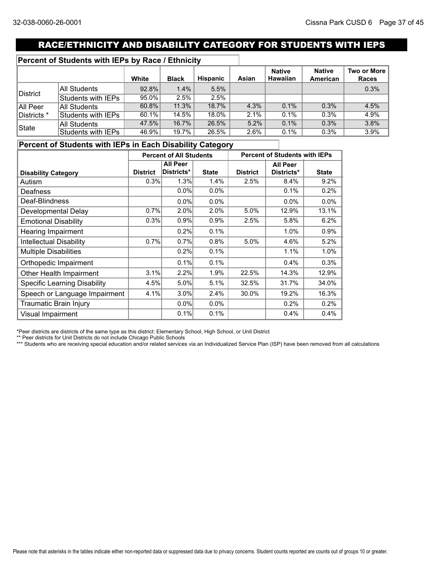## RACE/ETHNICITY AND DISABILITY CATEGORY FOR STUDENTS WITH IEPS

### **Percent of Students with IEPs by Race / Ethnicity**

|             |                    | White    | <b>Black</b> | <b>Hispanic</b> | Asian | <b>Native</b><br><b>Hawaiian</b> | <b>Native</b><br>American | Two or More<br>Races |
|-------------|--------------------|----------|--------------|-----------------|-------|----------------------------------|---------------------------|----------------------|
|             | All Students       | 92.8%    | 1.4%         | 5.5%            |       |                                  |                           | 0.3%                 |
| District    | Students with IEPs | $95.0\%$ | 2.5%         | 2.5%            |       |                                  |                           |                      |
| All Peer    | All Students       | $60.8\%$ | 11.3%        | 18.7%           | 4.3%  | 0.1%                             | 0.3%                      | 4.5%                 |
| Districts * | Students with IEPs | $60.1\%$ | 14.5%        | 18.0%           | 2.1%  | $0.1\%$                          | $0.3\%$                   | 4.9%                 |
| State       | All Students       | 47.5%    | 16.7%        | 26.5%           | 5.2%  | 0.1%                             | 0.3%                      | 3.8%                 |
|             | Students with IEPs | 46.9%    | 19.7%        | 26.5%           | 2.6%  | 0.1%                             | $0.3\%$                   | 3.9%                 |

## **Percent of Students with IEPs in Each Disability Category**

|                                     | <b>Percent of All Students</b> |                 | <b>Percent of Students with IEPs</b> |                 |            |              |
|-------------------------------------|--------------------------------|-----------------|--------------------------------------|-----------------|------------|--------------|
|                                     |                                | <b>All Peer</b> |                                      | <b>All Peer</b> |            |              |
| <b>Disability Category</b>          | <b>District</b>                | Districts*      | <b>State</b>                         | <b>District</b> | Districts* | <b>State</b> |
| Autism                              | 0.3%                           | 1.3%            | 1.4%                                 | 2.5%            | 8.4%       | 9.2%         |
| Deafness                            |                                | 0.0%            | 0.0%                                 |                 | 0.1%       | 0.2%         |
| Deaf-Blindness                      |                                | $0.0\%$         | 0.0%                                 |                 | $0.0\%$    | 0.0%         |
| Developmental Delay                 | 0.7%                           | 2.0%            | 2.0%                                 | 5.0%            | 12.9%      | 13.1%        |
| <b>Emotional Disability</b>         | 0.3%                           | 0.9%            | 0.9%                                 | 2.5%            | 5.8%       | 6.2%         |
| Hearing Impairment                  |                                | 0.2%            | 0.1%                                 |                 | 1.0%       | 0.9%         |
| <b>Intellectual Disability</b>      | 0.7%                           | 0.7%            | 0.8%                                 | 5.0%            | 4.6%       | 5.2%         |
| <b>Multiple Disabilities</b>        |                                | 0.2%            | 0.1%                                 |                 | 1.1%       | 1.0%         |
| Orthopedic Impairment               |                                | 0.1%            | 0.1%                                 |                 | 0.4%       | 0.3%         |
| Other Health Impairment             | 3.1%                           | 2.2%            | 1.9%                                 | 22.5%           | 14.3%      | 12.9%        |
| <b>Specific Learning Disability</b> | 4.5%                           | 5.0%            | 5.1%                                 | 32.5%           | 31.7%      | 34.0%        |
| Speech or Language Impairment       | 4.1%                           | 3.0%            | 2.4%                                 | 30.0%           | 19.2%      | 16.3%        |
| Traumatic Brain Injury              |                                | $0.0\%$         | $0.0\%$                              |                 | 0.2%       | 0.2%         |
| Visual Impairment                   |                                | 0.1%            | 0.1%                                 |                 | 0.4%       | 0.4%         |

\*Peer districts are districts of the same type as this district: Elementary School, High School, or Unit District

\*\* Peer districts for Unit Districts do not include Chicago Public Schools

\*\*\* Students who are receiving special education and/or related services via an Individualized Service Plan (ISP) have been removed from all calculations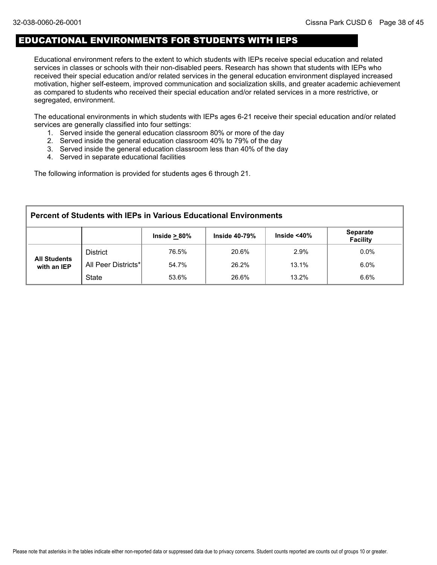## EDUCATIONAL ENVIRONMENTS FOR STUDENTS WITH IEPS

Educational environment refers to the extent to which students with IEPs receive special education and related services in classes or schools with their non-disabled peers. Research has shown that students with IEPs who received their special education and/or related services in the general education environment displayed increased motivation, higher self-esteem, improved communication and socialization skills, and greater academic achievement as compared to students who received their special education and/or related services in a more restrictive, or segregated, environment.

The educational environments in which students with IEPs ages 6-21 receive their special education and/or related services are generally classified into four settings:

- 1. Served inside the general education classroom 80% or more of the day
- 2. Served inside the general education classroom 40% to 79% of the day
- 3. Served inside the general education classroom less than 40% of the day
- 4. Served in separate educational facilities

The following information is provided for students ages 6 through 21.

| <b>Percent of Students with IEPs in Various Educational Environments</b> |                     |                    |                      |                    |                                    |  |  |  |
|--------------------------------------------------------------------------|---------------------|--------------------|----------------------|--------------------|------------------------------------|--|--|--|
|                                                                          |                     | Inside $\geq 80\%$ | <b>Inside 40-79%</b> | Inside $<$ 40 $\%$ | <b>Separate</b><br><b>Facility</b> |  |  |  |
|                                                                          | <b>District</b>     | 76.5%              | 20.6%                | 2.9%               | $0.0\%$                            |  |  |  |
| <b>All Students</b><br>with an IEP                                       | All Peer Districts* | 54.7%              | 26.2%                | 13.1%              | $6.0\%$                            |  |  |  |
|                                                                          | <b>State</b>        | 53.6%              | 26.6%                | 13.2%              | 6.6%                               |  |  |  |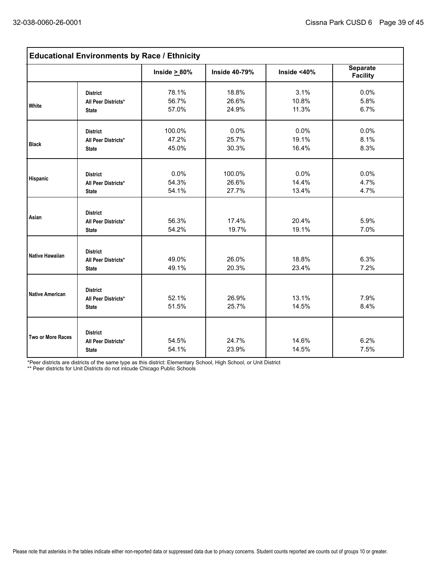| <b>Educational Environments by Race / Ethnicity</b> |                                                        |                          |                          |                        |                                    |  |  |  |
|-----------------------------------------------------|--------------------------------------------------------|--------------------------|--------------------------|------------------------|------------------------------------|--|--|--|
|                                                     |                                                        | Inside $\geq 80\%$       | <b>Inside 40-79%</b>     | Inside $<$ 40%         | <b>Separate</b><br><b>Facility</b> |  |  |  |
| White                                               | <b>District</b><br>All Peer Districts*<br><b>State</b> | 78.1%<br>56.7%<br>57.0%  | 18.8%<br>26.6%<br>24.9%  | 3.1%<br>10.8%<br>11.3% | 0.0%<br>5.8%<br>6.7%               |  |  |  |
| <b>Black</b>                                        | <b>District</b><br>All Peer Districts*<br><b>State</b> | 100.0%<br>47.2%<br>45.0% | 0.0%<br>25.7%<br>30.3%   | 0.0%<br>19.1%<br>16.4% | 0.0%<br>8.1%<br>8.3%               |  |  |  |
| Hispanic                                            | <b>District</b><br>All Peer Districts*<br><b>State</b> | 0.0%<br>54.3%<br>54.1%   | 100.0%<br>26.6%<br>27.7% | 0.0%<br>14.4%<br>13.4% | 0.0%<br>4.7%<br>4.7%               |  |  |  |
| Asian                                               | <b>District</b><br>All Peer Districts*<br><b>State</b> | 56.3%<br>54.2%           | 17.4%<br>19.7%           | 20.4%<br>19.1%         | 5.9%<br>7.0%                       |  |  |  |
| Native Hawaiian                                     | <b>District</b><br>All Peer Districts*<br><b>State</b> | 49.0%<br>49.1%           | 26.0%<br>20.3%           | 18.8%<br>23.4%         | 6.3%<br>7.2%                       |  |  |  |
| <b>Native American</b>                              | <b>District</b><br>All Peer Districts*<br><b>State</b> | 52.1%<br>51.5%           | 26.9%<br>25.7%           | 13.1%<br>14.5%         | 7.9%<br>8.4%                       |  |  |  |
| Two or More Races                                   | <b>District</b><br>All Peer Districts*<br><b>State</b> | 54.5%<br>54.1%           | 24.7%<br>23.9%           | 14.6%<br>14.5%         | 6.2%<br>7.5%                       |  |  |  |

\*Peer districts are districts of the same type as this district: Elementary School, High School, or Unit District

\*\* Peer districts for Unit Districts do not inlcude Chicago Public Schools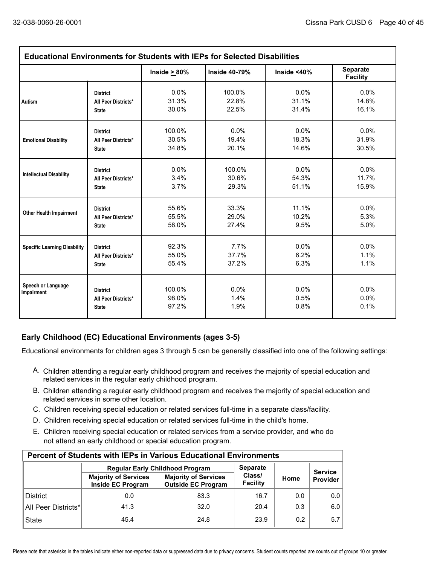| <b>Educational Environments for Students with IEPs for Selected Disabilities</b> |                                                        |                          |                      |                      |                             |  |  |  |
|----------------------------------------------------------------------------------|--------------------------------------------------------|--------------------------|----------------------|----------------------|-----------------------------|--|--|--|
|                                                                                  |                                                        | Inside $\geq 80\%$       | <b>Inside 40-79%</b> | Inside $<$ 40 $%$    | Separate<br><b>Facility</b> |  |  |  |
| Autism                                                                           | <b>District</b>                                        | 0.0%                     | 100.0%               | 0.0%                 | 0.0%                        |  |  |  |
|                                                                                  | All Peer Districts*                                    | 31.3%                    | 22.8%                | 31.1%                | 14.8%                       |  |  |  |
|                                                                                  | <b>State</b>                                           | 30.0%                    | 22.5%                | 31.4%                | 16.1%                       |  |  |  |
| <b>Emotional Disability</b>                                                      | <b>District</b>                                        | 100.0%                   | 0.0%                 | 0.0%                 | 0.0%                        |  |  |  |
|                                                                                  | All Peer Districts*                                    | 30.5%                    | 19.4%                | 18.3%                | 31.9%                       |  |  |  |
|                                                                                  | <b>State</b>                                           | 34.8%                    | 20.1%                | 14.6%                | 30.5%                       |  |  |  |
| <b>Intellectual Disability</b>                                                   | <b>District</b>                                        | 0.0%                     | 100.0%               | 0.0%                 | 0.0%                        |  |  |  |
|                                                                                  | All Peer Districts*                                    | 3.4%                     | 30.6%                | 54.3%                | 11.7%                       |  |  |  |
|                                                                                  | <b>State</b>                                           | 3.7%                     | 29.3%                | 51.1%                | 15.9%                       |  |  |  |
| <b>Other Health Impairment</b>                                                   | <b>District</b>                                        | 55.6%                    | 33.3%                | 11.1%                | $0.0\%$                     |  |  |  |
|                                                                                  | All Peer Districts*                                    | 55.5%                    | 29.0%                | 10.2%                | 5.3%                        |  |  |  |
|                                                                                  | <b>State</b>                                           | 58.0%                    | 27.4%                | 9.5%                 | 5.0%                        |  |  |  |
| <b>Specific Learning Disability</b>                                              | <b>District</b>                                        | 92.3%                    | 7.7%                 | 0.0%                 | 0.0%                        |  |  |  |
|                                                                                  | All Peer Districts*                                    | 55.0%                    | 37.7%                | 6.2%                 | 1.1%                        |  |  |  |
|                                                                                  | <b>State</b>                                           | 55.4%                    | 37.2%                | 6.3%                 | 1.1%                        |  |  |  |
| Speech or Language<br>Impairment                                                 | <b>District</b><br>All Peer Districts*<br><b>State</b> | 100.0%<br>98.0%<br>97.2% | 0.0%<br>1.4%<br>1.9% | 0.0%<br>0.5%<br>0.8% | 0.0%<br>0.0%<br>0.1%        |  |  |  |

## **Early Childhood (EC) Educational Environments (ages 3-5)**

Educational environments for children ages 3 through 5 can be generally classified into one of the following settings:

- A. Children attending a regular early childhood program and receives the majority of special education and related services in the regular early childhood program.
- B. Children attending a regular early childhood program and receives the majority of special education and related services in some other location.
- C. Children receiving special education or related services full-time in a separate class/facility.
- D. Children receiving special education or related services full-time in the child's home.
- E. Children receiving special education or related services from a service provider, and who do not attend an early childhood or special education program.

| <b>Percent of Students with IEPs in Various Educational Environments</b> |                                                  |                                                          |                    |                |          |  |  |  |  |  |
|--------------------------------------------------------------------------|--------------------------------------------------|----------------------------------------------------------|--------------------|----------------|----------|--|--|--|--|--|
|                                                                          | <b>Regular Early Childhood Program</b>           | <b>Separate</b>                                          |                    | <b>Service</b> |          |  |  |  |  |  |
|                                                                          | <b>Majority of Services</b><br>Inside EC Program | <b>Majority of Services</b><br><b>Outside EC Program</b> | Class/<br>Facility | Home           | Provider |  |  |  |  |  |
| <b>District</b>                                                          | 0.0                                              | 83.3                                                     | 16.7               | 0.0            | 0.0      |  |  |  |  |  |
| All Peer Districts*                                                      | 41.3                                             | 32.0                                                     | 20.4               | 0.3            | 6.0      |  |  |  |  |  |
| <b>State</b>                                                             | 45.4                                             | 24.8                                                     | 23.9               | 0.2            | 5.7      |  |  |  |  |  |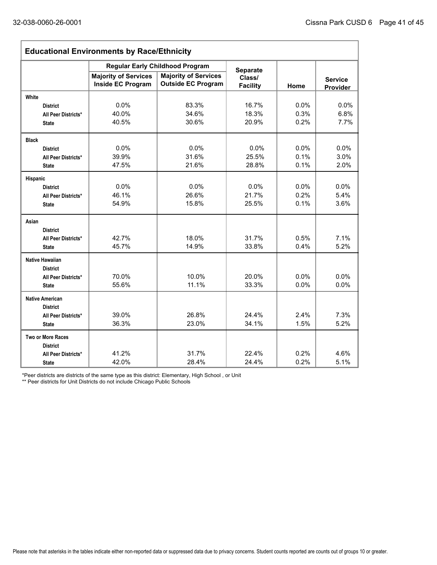| <b>Educational Environments by Race/Ethnicity</b> |                                                  |                                                                       |                           |         |                                   |  |  |  |
|---------------------------------------------------|--------------------------------------------------|-----------------------------------------------------------------------|---------------------------|---------|-----------------------------------|--|--|--|
|                                                   |                                                  | <b>Regular Early Childhood Program</b><br><b>Majority of Services</b> | <b>Separate</b>           |         |                                   |  |  |  |
|                                                   | <b>Majority of Services</b><br>Inside EC Program | <b>Outside EC Program</b>                                             | Class/<br><b>Facility</b> | Home    | <b>Service</b><br><b>Provider</b> |  |  |  |
| White                                             |                                                  |                                                                       |                           |         |                                   |  |  |  |
| <b>District</b>                                   | 0.0%                                             | 83.3%                                                                 | 16.7%                     | $0.0\%$ | 0.0%                              |  |  |  |
| All Peer Districts*                               | 40.0%                                            | 34.6%                                                                 | 18.3%                     | 0.3%    | 6.8%                              |  |  |  |
| <b>State</b>                                      | 40.5%                                            | 30.6%                                                                 | 20.9%                     | 0.2%    | 7.7%                              |  |  |  |
| <b>Black</b>                                      |                                                  |                                                                       |                           |         |                                   |  |  |  |
| <b>District</b>                                   | 0.0%                                             | 0.0%                                                                  | 0.0%                      | 0.0%    | 0.0%                              |  |  |  |
| All Peer Districts*                               | 39.9%                                            | 31.6%                                                                 | 25.5%                     | 0.1%    | 3.0%                              |  |  |  |
| <b>State</b>                                      | 47.5%                                            | 21.6%                                                                 | 28.8%                     | 0.1%    | 2.0%                              |  |  |  |
| Hispanic                                          |                                                  |                                                                       |                           |         |                                   |  |  |  |
| <b>District</b>                                   | 0.0%                                             | 0.0%                                                                  | 0.0%                      | $0.0\%$ | 0.0%                              |  |  |  |
| All Peer Districts*                               | 46.1%                                            | 26.6%                                                                 | 21.7%                     | 0.2%    | 5.4%                              |  |  |  |
| <b>State</b>                                      | 54.9%                                            | 15.8%                                                                 | 25.5%                     | 0.1%    | 3.6%                              |  |  |  |
| Asian                                             |                                                  |                                                                       |                           |         |                                   |  |  |  |
| <b>District</b>                                   |                                                  |                                                                       |                           |         |                                   |  |  |  |
| All Peer Districts*                               | 42.7%                                            | 18.0%                                                                 | 31.7%                     | 0.5%    | 7.1%                              |  |  |  |
| <b>State</b>                                      | 45.7%                                            | 14.9%                                                                 | 33.8%                     | 0.4%    | 5.2%                              |  |  |  |
| <b>Native Hawaiian</b>                            |                                                  |                                                                       |                           |         |                                   |  |  |  |
| <b>District</b>                                   |                                                  |                                                                       |                           |         |                                   |  |  |  |
| All Peer Districts*                               | 70.0%                                            | 10.0%                                                                 | 20.0%                     | 0.0%    | 0.0%                              |  |  |  |
| <b>State</b>                                      | 55.6%                                            | 11.1%                                                                 | 33.3%                     | 0.0%    | 0.0%                              |  |  |  |
| <b>Native American</b>                            |                                                  |                                                                       |                           |         |                                   |  |  |  |
| <b>District</b>                                   |                                                  |                                                                       |                           |         |                                   |  |  |  |
| All Peer Districts*                               | 39.0%                                            | 26.8%                                                                 | 24.4%                     | 2.4%    | 7.3%                              |  |  |  |
| <b>State</b>                                      | 36.3%                                            | 23.0%                                                                 | 34.1%                     | 1.5%    | 5.2%                              |  |  |  |
| <b>Two or More Races</b>                          |                                                  |                                                                       |                           |         |                                   |  |  |  |
| <b>District</b>                                   |                                                  |                                                                       |                           |         |                                   |  |  |  |
| All Peer Districts*                               | 41.2%                                            | 31.7%                                                                 | 22.4%                     | 0.2%    | 4.6%                              |  |  |  |
| <b>State</b>                                      | 42.0%                                            | 28.4%                                                                 | 24.4%                     | 0.2%    | 5.1%                              |  |  |  |

\*Peer districts are districts of the same type as this district: Elementary, High School , or Unit

\*\* Peer districts for Unit Districts do not include Chicago Public Schools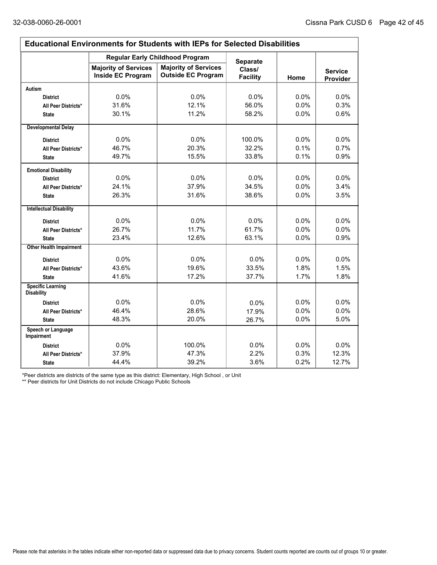$\Gamma$ 

ı,

| <b>Educational Environments for Students with IEPs for Selected Disabilities</b> |                                                         |                                                          |                           |      |                                   |  |  |  |  |
|----------------------------------------------------------------------------------|---------------------------------------------------------|----------------------------------------------------------|---------------------------|------|-----------------------------------|--|--|--|--|
|                                                                                  |                                                         | <b>Regular Early Childhood Program</b>                   | <b>Separate</b>           |      |                                   |  |  |  |  |
|                                                                                  | <b>Majority of Services</b><br><b>Inside EC Program</b> | <b>Majority of Services</b><br><b>Outside EC Program</b> | Class/<br><b>Facility</b> | Home | <b>Service</b><br><b>Provider</b> |  |  |  |  |
| Autism                                                                           |                                                         |                                                          |                           |      |                                   |  |  |  |  |
| <b>District</b>                                                                  | 0.0%                                                    | 0.0%                                                     | 0.0%                      | 0.0% | 0.0%                              |  |  |  |  |
| All Peer Districts*                                                              | 31.6%                                                   | 12.1%                                                    | 56.0%                     | 0.0% | 0.3%                              |  |  |  |  |
| <b>State</b>                                                                     | 30.1%                                                   | 11.2%                                                    | 58.2%                     | 0.0% | 0.6%                              |  |  |  |  |
| <b>Developmental Delay</b>                                                       |                                                         |                                                          |                           |      |                                   |  |  |  |  |
| <b>District</b>                                                                  | 0.0%                                                    | 0.0%                                                     | 100.0%                    | 0.0% | 0.0%                              |  |  |  |  |
| All Peer Districts*                                                              | 46.7%                                                   | 20.3%                                                    | 32.2%                     | 0.1% | 0.7%                              |  |  |  |  |
| <b>State</b>                                                                     | 49.7%                                                   | 15.5%                                                    | 33.8%                     | 0.1% | 0.9%                              |  |  |  |  |
| <b>Emotional Disability</b>                                                      |                                                         |                                                          |                           |      |                                   |  |  |  |  |
| <b>District</b>                                                                  | 0.0%                                                    | 0.0%                                                     | 0.0%                      | 0.0% | $0.0\%$                           |  |  |  |  |
| All Peer Districts*                                                              | 24.1%                                                   | 37.9%                                                    | 34.5%                     | 0.0% | 3.4%                              |  |  |  |  |
| <b>State</b>                                                                     | 26.3%                                                   | 31.6%                                                    | 38.6%                     | 0.0% | 3.5%                              |  |  |  |  |
| <b>Intellectual Disability</b>                                                   |                                                         |                                                          |                           |      |                                   |  |  |  |  |
| <b>District</b>                                                                  | 0.0%                                                    | 0.0%                                                     | 0.0%                      | 0.0% | 0.0%                              |  |  |  |  |
| All Peer Districts*                                                              | 26.7%                                                   | 11.7%                                                    | 61.7%                     | 0.0% | 0.0%                              |  |  |  |  |
| <b>State</b>                                                                     | 23.4%                                                   | 12.6%                                                    | 63.1%                     | 0.0% | 0.9%                              |  |  |  |  |
| <b>Other Health Impairment</b>                                                   |                                                         |                                                          |                           |      |                                   |  |  |  |  |
| <b>District</b>                                                                  | 0.0%                                                    | 0.0%                                                     | 0.0%                      | 0.0% | 0.0%                              |  |  |  |  |
| All Peer Districts*                                                              | 43.6%                                                   | 19.6%                                                    | 33.5%                     | 1.8% | 1.5%                              |  |  |  |  |
| <b>State</b>                                                                     | 41.6%                                                   | 17.2%                                                    | 37.7%                     | 1.7% | 1.8%                              |  |  |  |  |
| <b>Specific Learning</b><br><b>Disability</b>                                    |                                                         |                                                          |                           |      |                                   |  |  |  |  |
| <b>District</b>                                                                  | 0.0%                                                    | 0.0%                                                     | 0.0%                      | 0.0% | 0.0%                              |  |  |  |  |
| All Peer Districts*                                                              | 46.4%                                                   | 28.6%                                                    | 17.9%                     | 0.0% | 0.0%                              |  |  |  |  |
| <b>State</b>                                                                     | 48.3%                                                   | 20.0%                                                    | 26.7%                     | 0.0% | 5.0%                              |  |  |  |  |
| Speech or Language<br>Impairment                                                 |                                                         |                                                          |                           |      |                                   |  |  |  |  |
| <b>District</b>                                                                  | 0.0%                                                    | 100.0%                                                   | 0.0%                      | 0.0% | 0.0%                              |  |  |  |  |
| All Peer Districts*                                                              | 37.9%                                                   | 47.3%                                                    | 2.2%                      | 0.3% | 12.3%                             |  |  |  |  |
| <b>State</b>                                                                     | 44.4%                                                   | 39.2%                                                    | 3.6%                      | 0.2% | 12.7%                             |  |  |  |  |

\*Peer districts are districts of the same type as this district: Elementary, High School , or Unit

\*\* Peer districts for Unit Districts do not include Chicago Public Schools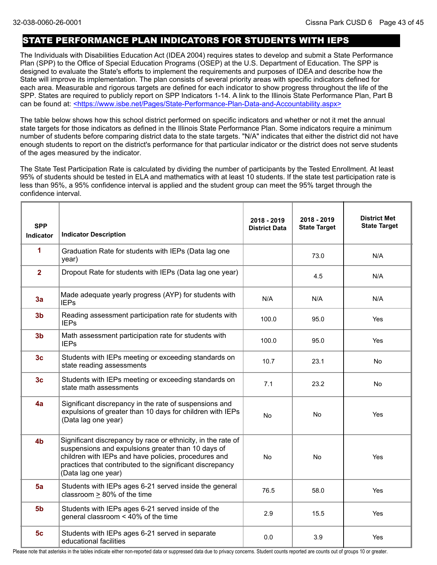## STATE PERFORMANCE PLAN INDICATORS FOR STUDENTS WITH IEPS

The Individuals with Disabilities Education Act (IDEA 2004) requires states to develop and submit a State Performance Plan (SPP) to the Office of Special Education Programs (OSEP) at the U.S. Department of Education. The SPP is designed to evaluate the State's efforts to implement the requirements and purposes of IDEA and describe how the State will improve its implementation. The plan consists of several priority areas with specific indicators defined for each area. Measurable and rigorous targets are defined for each indicator to show progress throughout the life of the SPP. States are required to publicly report on SPP Indicators 1-14. A link to the Illinois State Performance Plan, Part B can be found at: <https://www.isbe.net/Pages/State-Performance-Plan-Data-and-Accountability.aspx>

The table below shows how this school district performed on specific indicators and whether or not it met the annual state targets for those indicators as defined in the Illinois State Performance Plan. Some indicators require a minimum number of students before comparing district data to the state targets. "N/A" indicates that either the district did not have enough students to report on the district's performance for that particular indicator or the district does not serve students of the ages measured by the indicator.

The State Test Participation Rate is calculated by dividing the number of participants by the Tested Enrollment. At least 95% of students should be tested in ELA and mathematics with at least 10 students. If the state test participation rate is less than 95%, a 95% confidence interval is applied and the student group can meet the 95% target through the confidence interval.

| <b>SPP</b><br>Indicator | <b>Indicator Description</b>                                                                                                                                                                                                                                   | 2018 - 2019<br><b>District Data</b> | 2018 - 2019<br><b>State Target</b> | <b>District Met</b><br><b>State Target</b> |
|-------------------------|----------------------------------------------------------------------------------------------------------------------------------------------------------------------------------------------------------------------------------------------------------------|-------------------------------------|------------------------------------|--------------------------------------------|
| 1                       | Graduation Rate for students with IEPs (Data lag one<br>year)                                                                                                                                                                                                  |                                     | 73.0                               | N/A                                        |
| $\overline{2}$          | Dropout Rate for students with IEPs (Data lag one year)                                                                                                                                                                                                        |                                     | 4.5                                | N/A                                        |
| 3a                      | Made adequate yearly progress (AYP) for students with<br><b>IEPs</b>                                                                                                                                                                                           | N/A                                 | N/A                                | N/A                                        |
| 3 <sub>b</sub>          | Reading assessment participation rate for students with<br><b>IEPs</b>                                                                                                                                                                                         | 100.0                               | 95.0                               | Yes                                        |
| 3 <sub>b</sub>          | Math assessment participation rate for students with<br><b>IEPs</b>                                                                                                                                                                                            | 100.0                               | 95.0                               | <b>Yes</b>                                 |
| 3 <sub>c</sub>          | Students with IEPs meeting or exceeding standards on<br>state reading assessments                                                                                                                                                                              | 10.7                                | 23.1                               | No                                         |
| 3 <sub>c</sub>          | Students with IEPs meeting or exceeding standards on<br>state math assessments                                                                                                                                                                                 | 7.1                                 | 23.2                               | No.                                        |
| 4a                      | Significant discrepancy in the rate of suspensions and<br>expulsions of greater than 10 days for children with IEPs<br>(Data lag one year)                                                                                                                     | <b>No</b>                           | No                                 | Yes                                        |
| 4 <sub>b</sub>          | Significant discrepancy by race or ethnicity, in the rate of<br>suspensions and expulsions greater than 10 days of<br>children with IEPs and have policies, procedures and<br>practices that contributed to the significant discrepancy<br>(Data lag one year) | No                                  | No                                 | Yes                                        |
| 5a                      | Students with IEPs ages 6-21 served inside the general<br>classroom > 80% of the time                                                                                                                                                                          | 76.5                                | 58.0                               | Yes                                        |
| 5 <sub>b</sub>          | Students with IEPs ages 6-21 served inside of the<br>general classroom < 40% of the time                                                                                                                                                                       | 2.9                                 | 15.5                               | Yes                                        |
| 5 <sub>c</sub>          | Students with IEPs ages 6-21 served in separate<br>educational facilities                                                                                                                                                                                      | 0.0                                 | 3.9                                | Yes                                        |

Please note that asterisks in the tables indicate either non-reported data or suppressed data due to privacy concerns. Student counts reported are counts out of groups 10 or greater.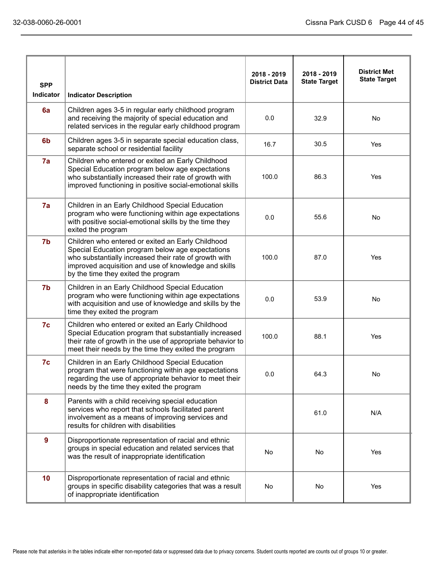| <b>SPP</b>       |                                                                                                                                                                                                                                                               | 2018 - 2019<br><b>District Data</b> | 2018 - 2019<br><b>State Target</b> | <b>District Met</b><br><b>State Target</b> |
|------------------|---------------------------------------------------------------------------------------------------------------------------------------------------------------------------------------------------------------------------------------------------------------|-------------------------------------|------------------------------------|--------------------------------------------|
| <b>Indicator</b> | <b>Indicator Description</b>                                                                                                                                                                                                                                  |                                     |                                    |                                            |
| 6a               | Children ages 3-5 in regular early childhood program<br>and receiving the majority of special education and<br>related services in the regular early childhood program                                                                                        | 0.0                                 | 32.9                               | No                                         |
| 6 <sub>b</sub>   | Children ages 3-5 in separate special education class,<br>separate school or residential facility                                                                                                                                                             | 16.7                                | 30.5                               | Yes                                        |
| 7a               | Children who entered or exited an Early Childhood<br>Special Education program below age expectations<br>who substantially increased their rate of growth with<br>improved functioning in positive social-emotional skills                                    | 100.0                               | 86.3                               | Yes                                        |
| 7a               | Children in an Early Childhood Special Education<br>program who were functioning within age expectations<br>with positive social-emotional skills by the time they<br>exited the program                                                                      | 0.0                                 | 55.6                               | No                                         |
| 7b               | Children who entered or exited an Early Childhood<br>Special Education program below age expectations<br>who substantially increased their rate of growth with<br>improved acquisition and use of knowledge and skills<br>by the time they exited the program | 100.0                               | 87.0                               | Yes                                        |
| 7b               | Children in an Early Childhood Special Education<br>program who were functioning within age expectations<br>with acquisition and use of knowledge and skills by the<br>time they exited the program                                                           | 0.0                                 | 53.9                               | No                                         |
| 7c               | Children who entered or exited an Early Childhood<br>Special Education program that substantially increased<br>their rate of growth in the use of appropriate behavior to<br>meet their needs by the time they exited the program                             | 100.0                               | 88.1                               | Yes                                        |
| 7c               | Children in an Early Childhood Special Education<br>program that were functioning within age expectations<br>regarding the use of appropriate behavior to meet their<br>needs by the time they exited the program                                             | 0.0                                 | 64.3                               | No.                                        |
| 8                | Parents with a child receiving special education<br>services who report that schools facilitated parent<br>involvement as a means of improving services and<br>results for children with disabilities                                                         |                                     | 61.0                               | N/A                                        |
| 9                | Disproportionate representation of racial and ethnic<br>groups in special education and related services that<br>was the result of inappropriate identification                                                                                               | No                                  | No                                 | Yes                                        |
| 10               | Disproportionate representation of racial and ethnic<br>groups in specific disability categories that was a result<br>of inappropriate identification                                                                                                         | No                                  | No                                 | Yes                                        |